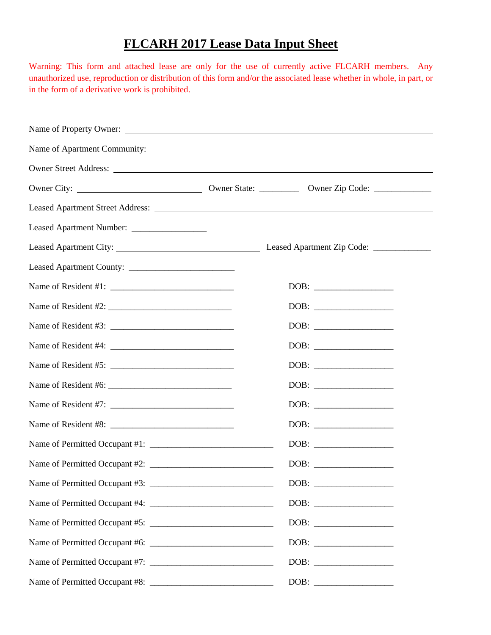# **FLCARH 2017 Lease Data Input Sheet**

Warning: This form and attached lease are only for the use of currently active FLCARH members. Any unauthorized use, reproduction or distribution of this form and/or the associated lease whether in whole, in part, or in the form of a derivative work is prohibited.

| Leased Apartment Number: ________________ |                                 |
|-------------------------------------------|---------------------------------|
|                                           |                                 |
|                                           |                                 |
|                                           |                                 |
| Name of Resident #2: $\frac{1}{2}$        |                                 |
|                                           |                                 |
|                                           |                                 |
|                                           |                                 |
|                                           |                                 |
|                                           |                                 |
|                                           |                                 |
|                                           |                                 |
|                                           |                                 |
|                                           |                                 |
|                                           |                                 |
|                                           |                                 |
|                                           | $\boxed{\text{DOB:}\ \_\_\_\_}$ |
|                                           |                                 |
|                                           |                                 |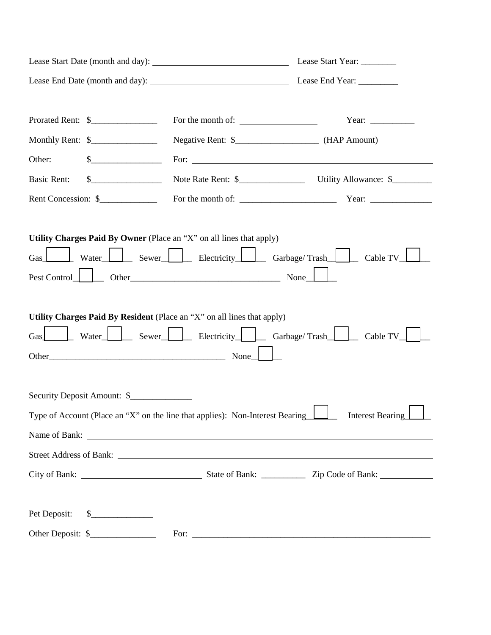|                                                                                                                                 | Lease Start Year: _________                                                                    |
|---------------------------------------------------------------------------------------------------------------------------------|------------------------------------------------------------------------------------------------|
|                                                                                                                                 |                                                                                                |
| Prorated Rent: \$                                                                                                               | Year: $\frac{\ }{\ }$                                                                          |
| Monthly Rent: \$                                                                                                                |                                                                                                |
| Other:<br>$\frac{1}{2}$                                                                                                         | For: $\overline{\phantom{a}}$                                                                  |
| $\quad \  \  \, \text{\bf S} \underline{\hspace{2cm}} \underline{\hspace{2cm}}$<br><b>Basic Rent:</b>                           |                                                                                                |
| Rent Concession: \$                                                                                                             |                                                                                                |
| $\text{Pest Control}$ $\Box$<br>Utility Charges Paid By Resident (Place an "X" on all lines that apply)<br>$\operatorname{Gas}$ | Water Sewer Electricity Garbage/Trash Cable TV                                                 |
| Security Deposit Amount: \$                                                                                                     |                                                                                                |
|                                                                                                                                 | Type of Account (Place an "X" on the line that applies): Non-Interest Bearing Interest Bearing |
|                                                                                                                                 |                                                                                                |
|                                                                                                                                 |                                                                                                |
|                                                                                                                                 |                                                                                                |
| Pet Deposit:<br>$\frac{\sqrt{2}}{2}$                                                                                            |                                                                                                |
| Other Deposit: \$                                                                                                               |                                                                                                |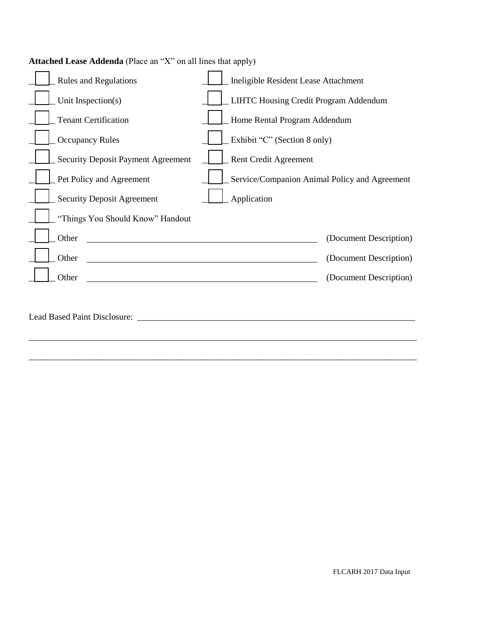| <b>Rules and Regulations</b>              | Ineligible Resident Lease Attachment          |
|-------------------------------------------|-----------------------------------------------|
| Unit Inspection(s)                        | LIHTC Housing Credit Program Addendum         |
| <b>Tenant Certification</b>               | Home Rental Program Addendum                  |
| <b>Occupancy Rules</b>                    | Exhibit "C" (Section 8 only)                  |
| <b>Security Deposit Payment Agreement</b> | Rent Credit Agreement                         |
| Pet Policy and Agreement                  | Service/Companion Animal Policy and Agreement |
| <b>Security Deposit Agreement</b>         | Application                                   |
| "Things You Should Know" Handout          |                                               |
| Other                                     | (Document Description)                        |
| Other                                     | (Document Description)                        |
| Other                                     | (Document Description)                        |
|                                           |                                               |
|                                           |                                               |
|                                           |                                               |
|                                           |                                               |

# **Attached Lease Addenda** (Place an "X" on all lines that apply)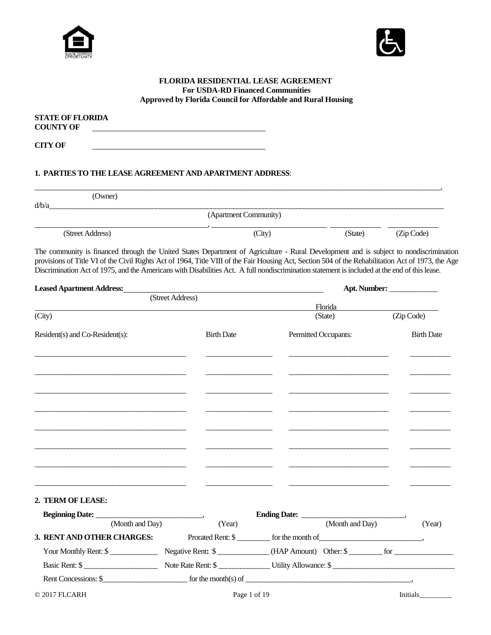



### **FLORIDA RESIDENTIAL LEASE AGREEMENT For USDA-RD Financed Communities Approved by Florida Council for Affordable and Rural Housing**

| <b>STATE OF FLORIDA</b><br><b>COUNTY OF</b> |  |  |
|---------------------------------------------|--|--|
| <b>CITY OF</b>                              |  |  |

# **1. PARTIES TO THE LEASE AGREEMENT AND APARTMENT ADDRESS**:

|                  | (Owner) |                       |         |            |
|------------------|---------|-----------------------|---------|------------|
| d/b/a            |         |                       |         |            |
|                  |         | (Apartment Community) |         |            |
|                  |         |                       |         |            |
| (Street Address) |         | (City)                | (State) | (Zip Code) |

The community is financed through the United States Department of Agriculture - Rural Development and is subject to nondiscrimination provisions of Title VI of the Civil Rights Act of 1964, Title VIII of the Fair Housing Act, Section 504 of the Rehabilitation Act of 1973, the Age Discrimination Act of 1975, and the Americans with Disabilities Act. A full nondiscrimination statement is included at the end of this lease.

| <b>Leased Apartment Address:</b> |                                              |                              | Apt. Number:           |
|----------------------------------|----------------------------------------------|------------------------------|------------------------|
|                                  | (Street Address)                             |                              |                        |
|                                  |                                              | Florida                      |                        |
| (City)                           |                                              | (State)                      | $\overline{Zip}$ Code) |
| Resident(s) and Co-Resident(s):  | <b>Birth Date</b>                            | Permitted Occupants:         | <b>Birth Date</b>      |
|                                  |                                              |                              |                        |
|                                  |                                              |                              |                        |
|                                  |                                              |                              |                        |
|                                  |                                              |                              |                        |
|                                  |                                              |                              |                        |
|                                  |                                              |                              |                        |
| 2. TERM OF LEASE:                |                                              |                              |                        |
|                                  |                                              |                              |                        |
| (Month and Day)                  | (Year)                                       | Ending Date: (Month and Day) | (Year)                 |
| 3. RENT AND OTHER CHARGES:       |                                              | Prorated Rent: \$            |                        |
| Your Monthly Rent: \$            |                                              | Negative Rent: \$            |                        |
|                                  |                                              | Basic Rent: \$               |                        |
| Rent Concessions: \$             | for the month(s) of $\overline{\phantom{a}}$ |                              |                        |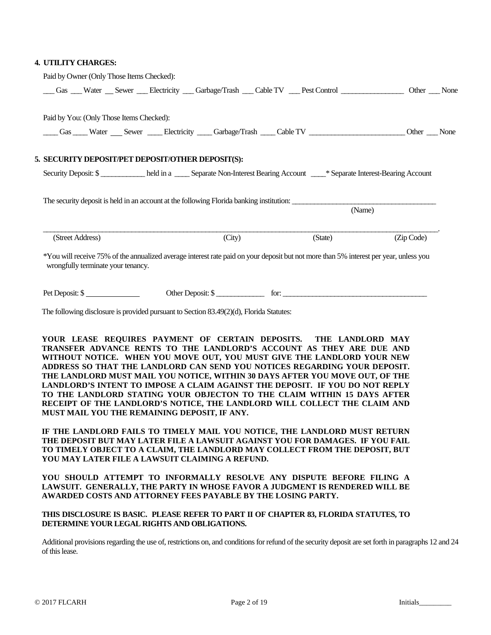#### **4. UTILITY CHARGES:**

| Paid by Owner (Only Those Items Checked):                                                                                                                                   |                   |         |            |
|-----------------------------------------------------------------------------------------------------------------------------------------------------------------------------|-------------------|---------|------------|
| Gas Water Sewer Electricity Garbage/Trash Cable TV Pest Control Content Content Content Content Content Content                                                             |                   |         |            |
| Paid by You: (Only Those Items Checked):                                                                                                                                    |                   |         |            |
| Gas Water Sewer Electricity Garbage/Trash Cable TV Communication Other None                                                                                                 |                   |         |            |
| 5. SECURITY DEPOSIT/PET DEPOSIT/OTHER DEPOSIT(S):                                                                                                                           |                   |         |            |
| Security Deposit: \$____________ held in a _____ Separate Non-Interest Bearing Account ____* Separate Interest-Bearing Account                                              |                   |         |            |
| The security deposit is held in an account at the following Florida banking institution:                                                                                    |                   |         |            |
|                                                                                                                                                                             |                   |         | (Name)     |
| (Street Address)                                                                                                                                                            | (City)            | (State) | (Zip Code) |
| *You will receive 75% of the annualized average interest rate paid on your deposit but not more than 5% interest per year, unless you<br>wrongfully terminate your tenancy. |                   |         |            |
| Pet Deposit: \$                                                                                                                                                             | Other Deposit: \$ |         |            |
| The following disclosure is provided pursuant to Section 83.49(2)(d), Florida Statutes:                                                                                     |                   |         |            |

**YOUR LEASE REQUIRES PAYMENT OF CERTAIN DEPOSITS. THE LANDLORD MAY TRANSFER ADVANCE RENTS TO THE LANDLORD'S ACCOUNT AS THEY ARE DUE AND WITHOUT NOTICE. WHEN YOU MOVE OUT, YOU MUST GIVE THE LANDLORD YOUR NEW ADDRESS SO THAT THE LANDLORD CAN SEND YOU NOTICES REGARDING YOUR DEPOSIT. THE LANDLORD MUST MAIL YOU NOTICE, WITHIN 30 DAYS AFTER YOU MOVE OUT, OF THE LANDLORD'S INTENT TO IMPOSE A CLAIM AGAINST THE DEPOSIT. IF YOU DO NOT REPLY TO THE LANDLORD STATING YOUR OBJECTON TO THE CLAIM WITHIN 15 DAYS AFTER RECEIPT OF THE LANDLORD'S NOTICE, THE LANDLORD WILL COLLECT THE CLAIM AND MUST MAIL YOU THE REMAINING DEPOSIT, IF ANY.** 

**IF THE LANDLORD FAILS TO TIMELY MAIL YOU NOTICE, THE LANDLORD MUST RETURN THE DEPOSIT BUT MAY LATER FILE A LAWSUIT AGAINST YOU FOR DAMAGES. IF YOU FAIL TO TIMELY OBJECT TO A CLAIM, THE LANDLORD MAY COLLECT FROM THE DEPOSIT, BUT YOU MAY LATER FILE A LAWSUIT CLAIMING A REFUND.** 

**YOU SHOULD ATTEMPT TO INFORMALLY RESOLVE ANY DISPUTE BEFORE FILING A LAWSUIT. GENERALLY, THE PARTY IN WHOSE FAVOR A JUDGMENT IS RENDERED WILL BE AWARDED COSTS AND ATTORNEY FEES PAYABLE BY THE LOSING PARTY.**

# **THIS DISCLOSURE IS BASIC. PLEASE REFER TO PART II OF CHAPTER 83, FLORIDA STATUTES, TO DETERMINE YOUR LEGAL RIGHTS AND OBLIGATIONS.**

Additional provisions regarding the use of, restrictions on, and conditions for refund of the security deposit are set forth in paragraphs 12 and 24 of this lease.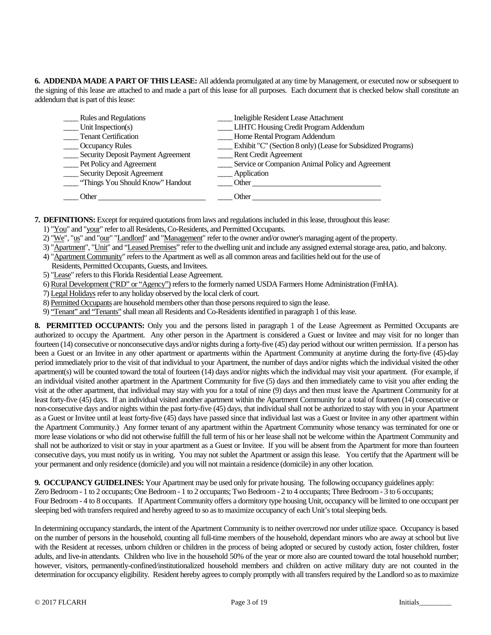**6. ADDENDA MADE A PART OF THIS LEASE:** All addenda promulgated at any time by Management, or executed now or subsequent to the signing of this lease are attached to and made a part of this lease for all purposes. Each document that is checked below shall constitute an addendum that is part of this lease:

| <b>Rules and Regulations</b>       | Ineligible Resident Lease Attachment                         |
|------------------------------------|--------------------------------------------------------------|
| Unit Inspection(s)                 | _ LIHTC Housing Credit Program Addendum                      |
| <b>Tenant Certification</b>        | Home Rental Program Addendum                                 |
| <b>Occupancy Rules</b>             | Exhibit "C" (Section 8 only) (Lease for Subsidized Programs) |
| Security Deposit Payment Agreement | Rent Credit Agreement                                        |
| Pet Policy and Agreement           | Service or Companion Animal Policy and Agreement             |
| <b>Security Deposit Agreement</b>  | Application                                                  |
| "Things You Should Know" Handout   | Other                                                        |
| Other                              | Other                                                        |

**7. DEFINITIONS:** Except for required quotations from laws and regulations included in this lease, throughout this lease:

- 1) "You" and "your" refer to all Residents, Co-Residents, and Permitted Occupants.
- 2) "We", "us" and "our" "Landlord" and "Management" refer to the owner and/or owner's managing agent of the property.
- 3) "Apartment", "Unit" and "Leased Premises" refer to the dwelling unit and include any assigned external storage area, patio, and balcony.
- 4) "Apartment Community" refers to the Apartment as well as all common areas and facilities held out for the use of
- Residents, Permitted Occupants, Guests, and Invitees.
- 5) "Lease" refers to this Florida Residential Lease Agreement.
- 6) Rural Development ("RD" or "Agency") refers to the formerly named USDA Farmers Home Administration (FmHA).
- 7) Legal Holidaysrefer to any holiday observed by the local clerk of court.
- 8) Permitted Occupants are household members other than those persons required to sign the lease.
- 9) "Tenant" and "Tenants" shall mean all Residents and Co-Residents identified in paragraph 1 of this lease.

**8. PERMITTED OCCUPANTS:** Only you and the persons listed in paragraph 1 of the Lease Agreement as Permitted Occupants are authorized to occupy the Apartment. Any other person in the Apartment is considered a Guest or Invitee and may visit for no longer than fourteen (14) consecutive or nonconsecutive days and/or nights during a forty-five (45) day period without our written permission. If a person has been a Guest or an Invitee in any other apartment or apartments within the Apartment Community at anytime during the forty-five (45)-day period immediately prior to the visit of that individual to your Apartment, the number of days and/or nights which the individual visited the other apartment(s) will be counted toward the total of fourteen (14) days and/or nights which the individual may visit your apartment. (For example, if an individual visited another apartment in the Apartment Community for five (5) days and then immediately came to visit you after ending the visit at the other apartment, that individual may stay with you for a total of nine (9) days and then must leave the Apartment Community for at least forty-five (45) days. If an individual visited another apartment within the Apartment Community for a total of fourteen (14) consecutive or non-consecutive days and/or nights within the past forty-five (45) days, that individual shall not be authorized to stay with you in your Apartment as a Guest or Invitee until at least forty-five (45) days have passed since that individual last was a Guest or Invitee in any other apartment within the Apartment Community.) Any former tenant of any apartment within the Apartment Community whose tenancy was terminated for one or more lease violations or who did not otherwise fulfill the full term of his or her lease shall not be welcome within the Apartment Community and shall not be authorized to visit or stay in your apartment as a Guest or Invitee. If you will be absent from the Apartment for more than fourteen consecutive days, you must notify us in writing. You may not sublet the Apartment or assign this lease. You certify that the Apartment will be your permanent and only residence (domicile) and you will not maintain a residence (domicile) in any other location.

**9. OCCUPANCY GUIDELINES:** Your Apartment may be used only for private housing. The following occupancy guidelines apply:

Zero Bedroom - 1 to 2 occupants; One Bedroom - 1 to 2 occupants; Two Bedroom - 2 to 4 occupants; Three Bedroom - 3 to 6 occupants; Four Bedroom - 4 to 8 occupants. If Apartment Community offers a dormitory type housing Unit, occupancy will be limited to one occupant per sleeping bed with transfers required and hereby agreed to so as to maximize occupancy of each Unit's total sleeping beds.

In determining occupancy standards, the intent of the Apartment Community is to neither overcrowd nor under utilize space. Occupancy is based on the number of persons in the household, counting all full-time members of the household, dependant minors who are away at school but live with the Resident at recesses, unborn children or children in the process of being adopted or secured by custody action, foster children, foster adults, and live-in attendants. Children who live in the household 50% of the year or more also are counted toward the total household number; however, visitors, permanently-confined/institutionalized household members and children on active military duty are not counted in the determination for occupancy eligibility. Resident hereby agrees to comply promptly with all transfers required by the Landlord so as to maximize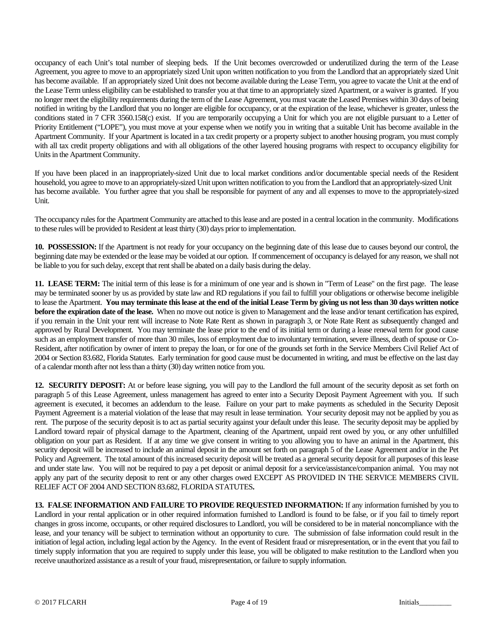occupancy of each Unit's total number of sleeping beds. If the Unit becomes overcrowded or underutilized during the term of the Lease Agreement, you agree to move to an appropriately sized Unit upon written notification to you from the Landlord that an appropriately sized Unit has become available. If an appropriately sized Unit does not become available during the Lease Term, you agree to vacate the Unit at the end of the Lease Term unless eligibility can be established to transfer you at that time to an appropriately sized Apartment, or a waiver is granted. If you no longer meet the eligibility requirements during the term of the Lease Agreement, you must vacate the Leased Premises within 30 days of being notified in writing by the Landlord that you no longer are eligible for occupancy, or at the expiration of the lease, whichever is greater, unless the conditions stated in 7 CFR 3560.158(c) exist. If you are temporarily occupying a Unit for which you are not eligible pursuant to a Letter of Priority Entitlement ("LOPE"), you must move at your expense when we notify you in writing that a suitable Unit has become available in the Apartment Community. If your Apartment is located in a tax credit property or a property subject to another housing program, you must comply with all tax credit property obligations and with all obligations of the other layered housing programs with respect to occupancy eligibility for Units in the Apartment Community.

If you have been placed in an inappropriately-sized Unit due to local market conditions and/or documentable special needs of the Resident household, you agree to move to an appropriately-sized Unit upon written notification to you from the Landlord that an appropriately-sized Unit has become available. You further agree that you shall be responsible for payment of any and all expenses to move to the appropriately-sized Unit.

The occupancy rules for the Apartment Community are attached to this lease and are posted in a central location in the community. Modifications to these rules will be provided to Resident at least thirty (30) days prior to implementation.

**10. POSSESSION:** If the Apartment is not ready for your occupancy on the beginning date of this lease due to causes beyond our control, the beginning date may be extended or the lease may be voided at our option. If commencement of occupancy is delayed for any reason, we shall not be liable to you for such delay, except that rent shall be abated on a daily basis during the delay.

**11. LEASE TERM:** The initial term of this lease is for a minimum of one year and is shown in "Term of Lease" on the first page. The lease may be terminated sooner by us as provided by state law and RD regulations if you fail to fulfill your obligations or otherwise become ineligible to lease the Apartment. **You may terminate this lease at the end of the initial Lease Term by giving us not less than 30 days written notice before the expiration date of the lease.** When no move out notice is given to Management and the lease and/or tenant certification has expired, if you remain in the Unit your rent will increase to Note Rate Rent as shown in paragraph 3, or Note Rate Rent as subsequently changed and approved by Rural Development. You may terminate the lease prior to the end of its initial term or during a lease renewal term for good cause such as an employment transfer of more than 30 miles, loss of employment due to involuntary termination, severe illness, death of spouse or Co-Resident, after notification by owner of intent to prepay the loan, or for one of the grounds set forth in the Service Members Civil Relief Act of 2004 or Section 83.682, Florida Statutes. Early termination for good cause must be documented in writing, and must be effective on the last day of a calendar month after not less than a thirty (30) day written notice from you.

**12. SECURITY DEPOSIT:** At or before lease signing, you will pay to the Landlord the full amount of the security deposit as set forth on paragraph 5 of this Lease Agreement, unless management has agreed to enter into a Security Deposit Payment Agreement with you. If such agreement is executed, it becomes an addendum to the lease. Failure on your part to make payments as scheduled in the Security Deposit Payment Agreement is a material violation of the lease that may result in lease termination. Your security deposit may not be applied by you as rent. The purpose of the security deposit is to act as partial security against your default under this lease. The security deposit may be applied by Landlord toward repair of physical damage to the Apartment, cleaning of the Apartment, unpaid rent owed by you, or any other unfulfilled obligation on your part as Resident. If at any time we give consent in writing to you allowing you to have an animal in the Apartment, this security deposit will be increased to include an animal deposit in the amount set forth on paragraph 5 of the Lease Agreement and/or in the Pet Policy and Agreement. The total amount of this increased security deposit will be treated as a general security deposit for all purposes of this lease and under state law. You will not be required to pay a pet deposit or animal deposit for a service/assistance/companion animal. You may not apply any part of the security deposit to rent or any other charges owed EXCEPT AS PROVIDED IN THE SERVICE MEMBERS CIVIL RELIEF ACT OF 2004 AND SECTION 83.682, FLORIDA STATUTES**.** 

**13. FALSE INFORMATION AND FAILURE TO PROVIDE REQUESTED INFORMATION:** If any information furnished by you to Landlord in your rental application or in other required information furnished to Landlord is found to be false, or if you fail to timely report changes in gross income, occupants, or other required disclosures to Landlord, you will be considered to be in material noncompliance with the lease, and your tenancy will be subject to termination without an opportunity to cure. The submission of false information could result in the initiation of legal action, including legal action by the Agency. In the event of Resident fraud or misrepresentation, or in the event that you fail to timely supply information that you are required to supply under this lease, you will be obligated to make restitution to the Landlord when you receive unauthorized assistance as a result of your fraud, misrepresentation, or failure to supply information.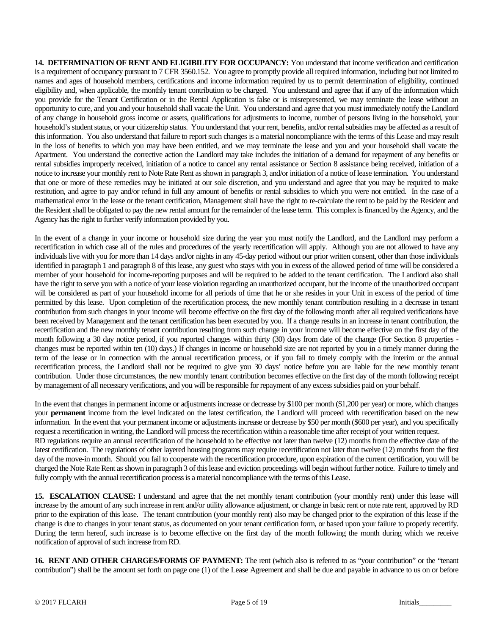**14. DETERMINATION OF RENT AND ELIGIBILITY FOR OCCUPANCY:** You understand that income verification and certification is a requirement of occupancy pursuant to 7 CFR 3560.152. You agree to promptly provide all required information, including but not limited to names and ages of household members, certifications and income information required by us to permit determination of eligibility, continued eligibility and, when applicable, the monthly tenant contribution to be charged. You understand and agree that if any of the information which you provide for the Tenant Certification or in the Rental Application is false or is misrepresented, we may terminate the lease without an opportunity to cure, and you and your household shall vacate the Unit. You understand and agree that you must immediately notify the Landlord of any change in household gross income or assets, qualifications for adjustments to income, number of persons living in the household, your household's student status, or your citizenship status. You understand that your rent, benefits, and/or rental subsidies may be affected as a result of this information. You also understand that failure to report such changes is a material noncompliance with the terms of this Lease and may result in the loss of benefits to which you may have been entitled, and we may terminate the lease and you and your household shall vacate the Apartment. You understand the corrective action the Landlord may take includes the initiation of a demand for repayment of any benefits or rental subsidies improperly received, initiation of a notice to cancel any rental assistance or Section 8 assistance being received, initiation of a notice to increase your monthly rent to Note Rate Rent as shown in paragraph 3, and/or initiation of a notice of lease termination. You understand that one or more of these remedies may be initiated at our sole discretion, and you understand and agree that you may be required to make restitution, and agree to pay and/or refund in full any amount of benefits or rental subsidies to which you were not entitled. In the case of a mathematical error in the lease or the tenant certification, Management shall have the right to re-calculate the rent to be paid by the Resident and the Resident shall be obligated to pay the new rental amount for the remainder of the lease term. This complex is financed by the Agency, and the Agency has the right to further verify information provided by you.

In the event of a change in your income or household size during the year you must notify the Landlord, and the Landlord may perform a recertification in which case all of the rules and procedures of the yearly recertification will apply. Although you are not allowed to have any individuals live with you for more than 14 days and/or nights in any 45-day period without our prior written consent, other than those individuals identified in paragraph 1 and paragraph 8 of this lease, any guest who stays with you in excess of the allowed period of time will be considered a member of your household for income-reporting purposes and will be required to be added to the tenant certification. The Landlord also shall have the right to serve you with a notice of your lease violation regarding an unauthorized occupant, but the income of the unauthorized occupant will be considered as part of your household income for all periods of time that he or she resides in your Unit in excess of the period of time permitted by this lease. Upon completion of the recertification process, the new monthly tenant contribution resulting in a decrease in tenant contribution from such changes in your income will become effective on the first day of the following month after all required verifications have been received by Management and the tenant certification has been executed by you. If a change results in an increase in tenant contribution, the recertification and the new monthly tenant contribution resulting from such change in your income will become effective on the first day of the month following a 30 day notice period, if you reported changes within thirty (30) days from date of the change (For Section 8 properties changes must be reported within ten (10) days.) If changes in income or household size are not reported by you in a timely manner during the term of the lease or in connection with the annual recertification process, or if you fail to timely comply with the interim or the annual recertification process, the Landlord shall not be required to give you 30 days' notice before you are liable for the new monthly tenant contribution. Under those circumstances, the new monthly tenant contribution becomes effective on the first day of the month following receipt by management of all necessary verifications, and you will be responsible for repayment of any excess subsidies paid on your behalf.

In the event that changes in permanent income or adjustments increase or decrease by \$100 per month (\$1,200 per year) or more, which changes your **permanent** income from the level indicated on the latest certification, the Landlord will proceed with recertification based on the new information. In the event that your permanent income or adjustments increase or decrease by \$50 per month (\$600 per year), and you specifically request a recertification in writing, the Landlord will process the recertification within a reasonable time after receipt of your written request. RD regulations require an annual recertification of the household to be effective not later than twelve (12) months from the effective date of the latest certification. The regulations of other layered housing programs may require recertification not later than twelve (12) months from the first day of the move-in month. Should you fail to cooperate with the recertification procedure, upon expiration of the current certification, you will be charged the Note Rate Rent as shown in paragraph 3 of this lease and eviction proceedings will begin without further notice. Failure to timely and fully comply with the annual recertification process is a material noncompliance with the terms of this Lease.

**15. ESCALATION CLAUSE:** I understand and agree that the net monthly tenant contribution (your monthly rent) under this lease will increase by the amount of any such increase in rent and/or utility allowance adjustment, or change in basic rent or note rate rent, approved by RD prior to the expiration of this lease. The tenant contribution (your monthly rent) also may be changed prior to the expiration of this lease if the change is due to changes in your tenant status, as documented on your tenant certification form, or based upon your failure to properly recertify. During the term hereof, such increase is to become effective on the first day of the month following the month during which we receive notification of approval of such increase from RD.

**16. RENT AND OTHER CHARGES/FORMS OF PAYMENT:** The rent (which also is referred to as "your contribution" or the "tenant contribution") shall be the amount set forth on page one (1) of the Lease Agreement and shall be due and payable in advance to us on or before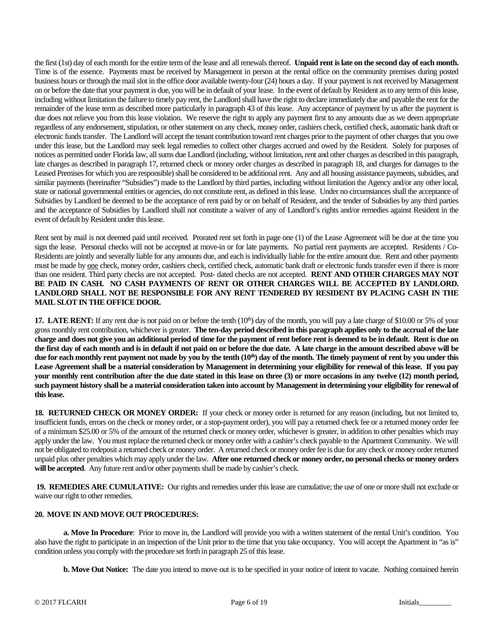the first (1st) day of each month for the entire term of the lease and all renewals thereof. **Unpaid rent is late on the second day of each month.**  Time is of the essence. Payments must be received by Management in person at the rental office on the community premises during posted business hours or through the mail slot in the office door available twenty-four (24) hours a day. If your payment is not received by Management on or before the date that your payment is due, you will be in default of your lease. In the event of default by Resident as to any term of this lease, including without limitation the failure to timely pay rent, the Landlord shall have the right to declare immediately due and payable the rent for the remainder of the lease term as described more particularly in paragraph 43 of this lease. Any acceptance of payment by us after the payment is due does not relieve you from this lease violation. We reserve the right to apply any payment first to any amounts due as we deem appropriate regardless of any endorsement, stipulation, or other statement on any check, money order, cashiers check, certified check, automatic bank draft or electronic funds transfer. The Landlord will accept the tenant contribution toward rent charges prior to the payment of other charges that you owe under this lease, but the Landlord may seek legal remedies to collect other charges accrued and owed by the Resident. Solely for purposes of notices as permitted under Florida law, all sums due Landlord (including, without limitation, rent and other charges as described in this paragraph, late charges as described in paragraph 17, returned check or money order charges as described in paragraph 18, and charges for damages to the Leased Premises for which you are responsible) shall be considered to be additional rent. Any and all housing assistance payments, subsidies, and similar payments (hereinafter "Subsidies") made to the Landlord by third parties, including without limitation the Agency and/or any other local, state or national governmental entities or agencies, do not constitute rent, as defined in this lease. Under no circumstances shall the acceptance of Subsidies by Landlord be deemed to be the acceptance of rent paid by or on behalf of Resident, and the tender of Subsidies by any third parties and the acceptance of Subsidies by Landlord shall not constitute a waiver of any of Landlord's rights and/or remedies against Resident in the event of default by Resident under this lease.

Rent sent by mail is not deemed paid until received. Prorated rent set forth in page one (1) of the Lease Agreement will be due at the time you sign the lease. Personal checks will not be accepted at move-in or for late payments. No partial rent payments are accepted. Residents / Co-Residents are jointly and severally liable for any amounts due, and each is individually liable for the entire amount due. Rent and other payments must be made by one check, money order, cashiers check, certified check, automatic bank draft or electronic funds transfer even if there is more than one resident. Third party checks are not accepted. Post- dated checks are not accepted. **RENT AND OTHER CHARGES MAY NOT BE PAID IN CASH. NO CASH PAYMENTS OF RENT OR OTHER CHARGES WILL BE ACCEPTED BY LANDLORD. LANDLORD SHALL NOT BE RESPONSIBLE FOR ANY RENT TENDERED BY RESIDENT BY PLACING CASH IN THE MAIL SLOT IN THE OFFICE DOOR.** 

**17. LATE RENT:** If any rent due is not paid on or before the tenth (10<sup>th</sup>) day of the month, you will pay a late charge of \$10.00 or 5% of your gross monthly rent contribution, whichever is greater. **The ten-day period described in this paragraph applies only to the accrual of the late charge and does not give you an additional period of time for the payment of rent before rent is deemed to be in default. Rent is due on the first day of each month and is in default if not paid on or before the due date. A late charge in the amount described above will be**  due for each monthly rent payment not made by you by the tenth (10<sup>th</sup>) day of the month. The timely payment of rent by you under this **Lease Agreement shall be a material consideration by Management in determining your eligibility for renewal of this lease. If you pay your monthly rent contribution after the due date stated in this lease on three (3) or more occasions in any twelve (12) month period, such payment history shall be a material consideration taken into account by Management in determining your eligibility for renewal of this lease.**

**18. RETURNED CHECK OR MONEY ORDER:** If your check or money order is returned for any reason (including, but not limited to, insufficient funds, errors on the check or money order, or a stop-payment order), you will pay a returned check fee or a returned money order fee of a minimum \$25.00 or 5% of the amount of the returned check or money order, whichever is greater, in addition to other penalties which may apply under the law. You must replace the returned check or money order with a cashier's check payable to the Apartment Community. We will not be obligated to redeposit a returned check or money order. A returned check or money order fee is due for any check or money order returned unpaid plus other penalties which may apply under the law. **After one returned check or money order, no personal checks or money orders will be accepted**. Any future rent and/or other payments shall be made by cashier's check.

**19. REMEDIES ARE CUMULATIVE:** Our rights and remedies under this lease are cumulative; the use of one or more shall not exclude or waive our right to other remedies.

# **20. MOVE IN AND MOVE OUT PROCEDURES:**

**a. Move In Procedure**: Prior to move in, the Landlord will provide you with a written statement of the rental Unit's condition. You also have the right to participate in an inspection of the Unit prior to the time that you take occupancy. You will accept the Apartment in "as is" condition unless you comply with the procedure set forth in paragraph 25 of this lease.

**b. Move Out Notice:** The date you intend to move out is to be specified in your notice of intent to vacate. Nothing contained herein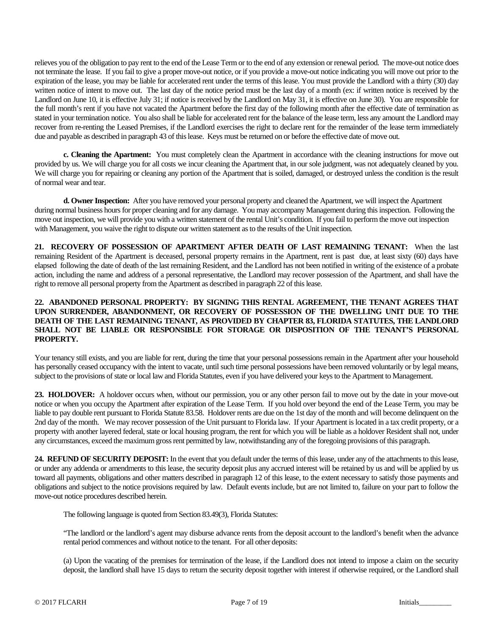relieves you of the obligation to pay rent to the end of the Lease Term or to the end of any extension or renewal period. The move-out notice does not terminate the lease. If you fail to give a proper move-out notice, or if you provide a move-out notice indicating you will move out prior to the expiration of the lease, you may be liable for accelerated rent under the terms of this lease. You must provide the Landlord with a thirty (30) day written notice of intent to move out. The last day of the notice period must be the last day of a month (ex: if written notice is received by the Landlord on June 10, it is effective July 31; if notice is received by the Landlord on May 31, it is effective on June 30). You are responsible for the full month's rent if you have not vacated the Apartment before the first day of the following month after the effective date of termination as stated in your termination notice. You also shall be liable for accelerated rent for the balance of the lease term, less any amount the Landlord may recover from re-renting the Leased Premises, if the Landlord exercises the right to declare rent for the remainder of the lease term immediately due and payable as described in paragraph 43 of this lease. Keys must be returned on or before the effective date of move out.

**c. Cleaning the Apartment:** You must completely clean the Apartment in accordance with the cleaning instructions for move out provided by us. We will charge you for all costs we incur cleaning the Apartment that, in our sole judgment, was not adequately cleaned by you. We will charge you for repairing or cleaning any portion of the Apartment that is soiled, damaged, or destroyed unless the condition is the result of normal wear and tear.

**d. Owner Inspection:** After you have removed your personal property and cleaned the Apartment, we will inspect the Apartment during normal business hours for proper cleaning and for any damage. You may accompany Management during this inspection. Following the move out inspection, we will provide you with a written statement of the rental Unit's condition. If you fail to perform the move out inspection with Management, you waive the right to dispute our written statement as to the results of the Unit inspection.

**21. RECOVERY OF POSSESSION OF APARTMENT AFTER DEATH OF LAST REMAINING TENANT:** When the last remaining Resident of the Apartment is deceased, personal property remains in the Apartment, rent is past due, at least sixty (60) days have elapsed following the date of death of the last remaining Resident, and the Landlord has not been notified in writing of the existence of a probate action, including the name and address of a personal representative, the Landlord may recover possession of the Apartment, and shall have the right to remove all personal property from the Apartment as described in paragraph 22 of this lease.

# **22. ABANDONED PERSONAL PROPERTY: BY SIGNING THIS RENTAL AGREEMENT, THE TENANT AGREES THAT UPON SURRENDER, ABANDONMENT, OR RECOVERY OF POSSESSION OF THE DWELLING UNIT DUE TO THE DEATH OF THE LAST REMAINING TENANT, AS PROVIDED BY CHAPTER 83, FLORIDA STATUTES, THE LANDLORD SHALL NOT BE LIABLE OR RESPONSIBLE FOR STORAGE OR DISPOSITION OF THE TENANT'S PERSONAL PROPERTY.**

Your tenancy still exists, and you are liable for rent, during the time that your personal possessions remain in the Apartment after your household has personally ceased occupancy with the intent to vacate, until such time personal possessions have been removed voluntarily or by legal means, subject to the provisions of state or local law and Florida Statutes, even if you have delivered your keys to the Apartment to Management.

**23. HOLDOVER:** A holdover occurs when, without our permission, you or any other person fail to move out by the date in your move-out notice or when you occupy the Apartment after expiration of the Lease Term. If you hold over beyond the end of the Lease Term, you may be liable to pay double rent pursuant to Florida Statute 83.58. Holdover rents are due on the 1st day of the month and will become delinquent on the 2nd day of the month. We may recover possession of the Unit pursuant to Florida law. If your Apartment is located in a tax credit property, or a property with another layered federal, state or local housing program, the rent for which you will be liable as a holdover Resident shall not, under any circumstances, exceed the maximum gross rent permitted by law, notwithstanding any of the foregoing provisions of this paragraph.

**24. REFUND OF SECURITY DEPOSIT:** In the event that you default under the terms of this lease, under any of the attachments to this lease, or under any addenda or amendments to this lease, the security deposit plus any accrued interest will be retained by us and will be applied by us toward all payments, obligations and other matters described in paragraph 12 of this lease, to the extent necessary to satisfy those payments and obligations and subject to the notice provisions required by law. Default events include, but are not limited to, failure on your part to follow the move-out notice procedures described herein.

The following language is quoted from Section 83.49(3), Florida Statutes:

"The landlord or the landlord's agent may disburse advance rents from the deposit account to the landlord's benefit when the advance rental period commences and without notice to the tenant. For all other deposits:

(a) Upon the vacating of the premises for termination of the lease, if the Landlord does not intend to impose a claim on the security deposit, the landlord shall have 15 days to return the security deposit together with interest if otherwise required, or the Landlord shall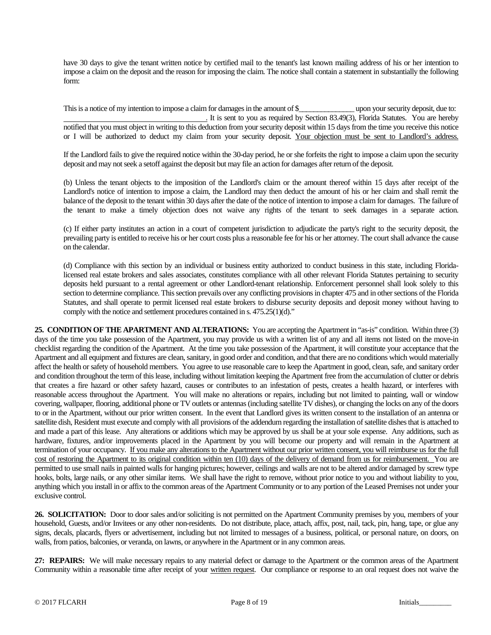have 30 days to give the tenant written notice by certified mail to the tenant's last known mailing address of his or her intention to impose a claim on the deposit and the reason for imposing the claim. The notice shall contain a statement in substantially the following form:

This is a notice of my intention to impose a claim for damages in the amount of \$\_\_\_\_\_\_\_\_\_\_\_\_\_\_\_ upon your security deposit, due to: . It is sent to you as required by Section 83.49(3), Florida Statutes. You are hereby notified that you must object in writing to this deduction from your security deposit within 15 days from the time you receive this notice or I will be authorized to deduct my claim from your security deposit. Your objection must be sent to Landlord's address.

If the Landlord fails to give the required notice within the 30-day period, he or she forfeits the right to impose a claim upon the security deposit and may not seek a setoff against the deposit but may file an action for damages after return of the deposit.

(b) Unless the tenant objects to the imposition of the Landlord's claim or the amount thereof within 15 days after receipt of the Landlord's notice of intention to impose a claim, the Landlord may then deduct the amount of his or her claim and shall remit the balance of the deposit to the tenant within 30 days after the date of the notice of intention to impose a claim for damages. The failure of the tenant to make a timely objection does not waive any rights of the tenant to seek damages in a separate action.

(c) If either party institutes an action in a court of competent jurisdiction to adjudicate the party's right to the security deposit, the prevailing party is entitled to receive his or her court costs plus a reasonable fee for his or her attorney. The court shall advance the cause on the calendar.

(d) Compliance with this section by an individual or business entity authorized to conduct business in this state, including Floridalicensed real estate brokers and sales associates, constitutes compliance with all other relevant Florida Statutes pertaining to security deposits held pursuant to a rental agreement or other Landlord-tenant relationship. Enforcement personnel shall look solely to this section to determine compliance. This section prevails over any conflicting provisions in chapter 475 and in other sections of the Florida Statutes, and shall operate to permit licensed real estate brokers to disburse security deposits and deposit money without having to comply with the notice and settlement procedures contained in s. 475.25(1)(d)."

**25. CONDITION OF THE APARTMENT AND ALTERATIONS:** You are accepting the Apartment in "as-is" condition. Within three (3) days of the time you take possession of the Apartment, you may provide us with a written list of any and all items not listed on the move-in checklist regarding the condition of the Apartment. At the time you take possession of the Apartment, it will constitute your acceptance that the Apartment and all equipment and fixtures are clean, sanitary, in good order and condition, and that there are no conditions which would materially affect the health or safety of household members. You agree to use reasonable care to keep the Apartment in good, clean, safe, and sanitary order and condition throughout the term of this lease, including without limitation keeping the Apartment free from the accumulation of clutter or debris that creates a fire hazard or other safety hazard, causes or contributes to an infestation of pests, creates a health hazard, or interferes with reasonable access throughout the Apartment. You will make no alterations or repairs, including but not limited to painting, wall or window covering, wallpaper, flooring, additional phone or TV outlets or antennas (including satellite TV dishes), or changing the locks on any of the doors to or in the Apartment, without our prior written consent. In the event that Landlord gives its written consent to the installation of an antenna or satellite dish, Resident must execute and comply with all provisions of the addendum regarding the installation of satellite dishes that is attached to and made a part of this lease. Any alterations or additions which may be approved by us shall be at your sole expense. Any additions, such as hardware, fixtures, and/or improvements placed in the Apartment by you will become our property and will remain in the Apartment at termination of your occupancy. If you make any alterations to the Apartment without our prior written consent, you will reimburse us for the full cost of restoring the Apartment to its original condition within ten (10) days of the delivery of demand from us for reimbursement. You are permitted to use small nails in painted walls for hanging pictures; however, ceilings and walls are not to be altered and/or damaged by screw type hooks, bolts, large nails, or any other similar items. We shall have the right to remove, without prior notice to you and without liability to you, anything which you install in or affix to the common areas of the Apartment Community or to any portion of the Leased Premises not under your exclusive control.

**26. SOLICITATION:** Door to door sales and/or soliciting is not permitted on the Apartment Community premises by you, members of your household, Guests, and/or Invitees or any other non-residents.Do not distribute, place, attach, affix, post, nail, tack, pin, hang, tape, or glue any signs, decals, placards, flyers or advertisement, including but not limited to messages of a business, political, or personal nature, on doors, on walls, from patios, balconies, or veranda, on lawns, or anywhere in the Apartment or in any common areas.

**27: REPAIRS:** We will make necessary repairs to any material defect or damage to the Apartment or the common areas of the Apartment Community within a reasonable time after receipt of your written request. Our compliance or response to an oral request does not waive the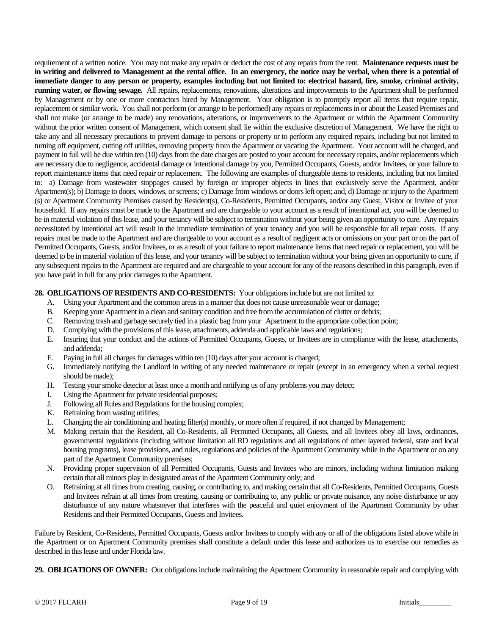requirement of a written notice. You may not make any repairs or deduct the cost of any repairs from the rent. **Maintenance requests must be in writing and delivered to Management at the rental office. In an emergency, the notice may be verbal, when there is a potential of immediate danger to any person or property, examples including but not limited to: electrical hazard, fire, smoke, criminal activity, running water, or flowing sewage.** All repairs, replacements, renovations, alterations and improvements to the Apartment shall be performed by Management or by one or more contractors hired by Management. Your obligation is to promptly report all items that require repair, replacement or similar work. You shall not perform (or arrange to be performed) any repairs or replacements in or about the Leased Premises and shall not make (or arrange to be made) any renovations, alterations, or improvements to the Apartment or within the Apartment Community without the prior written consent of Management, which consent shall lie within the exclusive discretion of Management. We have the right to take any and all necessary precautions to prevent damage to persons or property or to perform any required repairs, including but not limited to turning off equipment, cutting off utilities, removing property from the Apartment or vacating the Apartment.Your account will be charged, and payment in full will be due within ten (10) days from the date charges are posted to your account for necessary repairs, and/or replacements which are necessary due to negligence, accidental damage or intentional damage by you, Permitted Occupants, Guests, and/or Invitees, or your failure to report maintenance items that need repair or replacement. The following are examples of chargeable items to residents, including but not limited to: a) Damage from wastewater stoppages caused by foreign or improper objects in lines that exclusively serve the Apartment, and/or Apartment(s); b) Damage to doors, windows, or screens; c) Damage from windows or doors left open; and, d) Damage or injury to the Apartment (s) or Apartment Community Premises caused by Resident(s), Co-Residents, Permitted Occupants, and/or any Guest, Visitor or Invitee of your household. If any repairs must be made to the Apartment and are chargeable to your account as a result of intentional act, you will be deemed to be in material violation of this lease, and your tenancy will be subject to termination without your being given an opportunity to cure. Any repairs necessitated by intentional act will result in the immediate termination of your tenancy and you will be responsible for all repair costs. If any repairs must be made to the Apartment and are chargeable to your account as a result of negligent acts or omissions on your part or on the part of Permitted Occupants, Guests, and/or Invitees, or as a result of your failure to report maintenance items that need repair or replacement, you will be deemed to be in material violation of this lease, and your tenancy will be subject to termination without your being given an opportunity to cure, if any subsequent repairs to the Apartment are required and are chargeable to your account for any of the reasons described in this paragraph, even if you have paid in full for any prior damages to the Apartment.

#### **28. OBLIGATIONS OF RESIDENTS AND CO-RESIDENTS:** Your obligations include but are not limited to:

- A. Using your Apartment and the common areas in a manner that does not cause unreasonable wear or damage;
- B. Keeping your Apartment in a clean and sanitary condition and free from the accumulation of clutter or debris;<br>C. Removing trash and garbage securely tied in a plastic bag from your Apartment to the appropriate collectio
- Removing trash and garbage securely tied in a plastic bag from your Apartment to the appropriate collection point;
- D. Complying with the provisions of this lease, attachments, addenda and applicable laws and regulations;
- E. Insuring that your conduct and the actions of Permitted Occupants, Guests, or Invitees are in compliance with the lease, attachments, and addenda;
- F. Paying in full all charges for damages within ten (10) days after your account is charged;
- G. Immediately notifying the Landlord in writing of any needed maintenance or repair (except in an emergency when a verbal request should be made);
- H. Testing your smoke detector at least once a month and notifying us of any problems you may detect;
- I. Using the Apartment for private residential purposes;
- J. Following all Rules and Regulations for the housing complex;
- K. Refraining from wasting utilities;
- L. Changing the air conditioning and heating filter(s) monthly, or more often if required, if not changed by Management;
- M. Making certain that the Resident, all Co-Residents, all Permitted Occupants, all Guests, and all Invitees obey all laws, ordinances, governmental regulations (including without limitation all RD regulations and all regulations of other layered federal, state and local housing programs), lease provisions, and rules, regulations and policies of the Apartment Community while in the Apartment or on any part of the Apartment Community premises;
- N. Providing proper supervision of all Permitted Occupants, Guests and Invitees who are minors, including without limitation making certain that all minors play in designated areas of the Apartment Community only; and
- O. Refraining at all times from creating, causing, or contributing to, and making certain that all Co-Residents, Permitted Occupants, Guests and Invitees refrain at all times from creating, causing or contributing to, any public or private nuisance, any noise disturbance or any disturbance of any nature whatsoever that interferes with the peaceful and quiet enjoyment of the Apartment Community by other Residents and their Permitted Occupants, Guests and Invitees.

Failure by Resident, Co-Residents, Permitted Occupants, Guests and/or Invitees to comply with any or all of the obligations listed above while in the Apartment or on Apartment Community premises shall constitute a default under this lease and authorizes us to exercise our remedies as described in this lease and under Florida law.

**29. OBLIGATIONS OF OWNER:** Our obligations include maintaining the Apartment Community in reasonable repair and complying with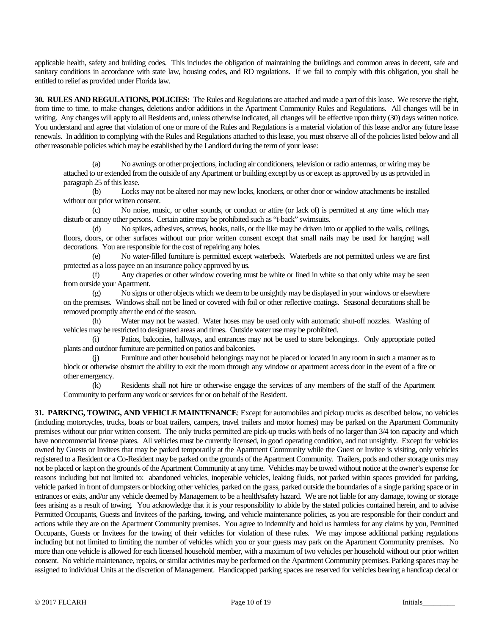applicable health, safety and building codes. This includes the obligation of maintaining the buildings and common areas in decent, safe and sanitary conditions in accordance with state law, housing codes, and RD regulations. If we fail to comply with this obligation, you shall be entitled to relief as provided under Florida law.

**30. RULES AND REGULATIONS, POLICIES:** The Rules and Regulations are attached and made a part of this lease. We reserve the right, from time to time, to make changes, deletions and/or additions in the Apartment Community Rules and Regulations. All changes will be in writing. Any changes will apply to all Residents and, unless otherwise indicated, all changes will be effective upon thirty (30) days written notice. You understand and agree that violation of one or more of the Rules and Regulations is a material violation of this lease and/or any future lease renewals. In addition to complying with the Rules and Regulations attached to this lease, you must observe all of the policies listed below and all other reasonable policies which may be established by the Landlord during the term of your lease:

(a) No awnings or other projections, including air conditioners, television or radio antennas, or wiring may be attached to or extended from the outside of any Apartment or building except by us or except as approved by us as provided in paragraph 25 of this lease.

(b) Locks may not be altered nor may new locks, knockers, or other door or window attachments be installed without our prior written consent.

(c) No noise, music, or other sounds, or conduct or attire (or lack of) is permitted at any time which may disturb or annoy other persons. Certain attire may be prohibited such as "t-back" swimsuits.

(d) No spikes, adhesives, screws, hooks, nails, or the like may be driven into or applied to the walls, ceilings, floors, doors, or other surfaces without our prior written consent except that small nails may be used for hanging wall decorations. You are responsible for the cost of repairing any holes.

(e) No water-filled furniture is permitted except waterbeds. Waterbeds are not permitted unless we are first protected as a loss payee on an insurance policy approved by us.

(f) Any draperies or other window covering must be white or lined in white so that only white may be seen from outside your Apartment.

(g) No signs or other objects which we deem to be unsightly may be displayed in your windows or elsewhere on the premises. Windows shall not be lined or covered with foil or other reflective coatings. Seasonal decorations shall be removed promptly after the end of the season.

(h) Water may not be wasted. Water hoses may be used only with automatic shut-off nozzles. Washing of vehicles may be restricted to designated areas and times. Outside water use may be prohibited.

(i) Patios, balconies, hallways, and entrances may not be used to store belongings. Only appropriate potted plants and outdoor furniture are permitted on patios and balconies.

Furniture and other household belongings may not be placed or located in any room in such a manner as to block or otherwise obstruct the ability to exit the room through any window or apartment access door in the event of a fire or other emergency.

(k) Residents shall not hire or otherwise engage the services of any members of the staff of the Apartment Community to perform any work or services for or on behalf of the Resident.

**31. PARKING, TOWING, AND VEHICLE MAINTENANCE**: Except for automobiles and pickup trucks as described below, no vehicles (including motorcycles, trucks, boats or boat trailers, campers, travel trailers and motor homes) may be parked on the Apartment Community premises without our prior written consent. The only trucks permitted are pick-up trucks with beds of no larger than 3/4 ton capacity and which have noncommercial license plates. All vehicles must be currently licensed, in good operating condition, and not unsightly. Except for vehicles owned by Guests or Invitees that may be parked temporarily at the Apartment Community while the Guest or Invitee is visiting, only vehicles registered to a Resident or a Co-Resident may be parked on the grounds of the Apartment Community. Trailers, pods and other storage units may not be placed or kept on the grounds of the Apartment Community at any time. Vehicles may be towed without notice at the owner's expense for reasons including but not limited to: abandoned vehicles, inoperable vehicles, leaking fluids, not parked within spaces provided for parking, vehicle parked in front of dumpsters or blocking other vehicles, parked on the grass, parked outside the boundaries of a single parking space or in entrances or exits, and/or any vehicle deemed by Management to be a health/safety hazard. We are not liable for any damage, towing or storage fees arising as a result of towing. You acknowledge that it is your responsibility to abide by the stated policies contained herein, and to advise Permitted Occupants, Guests and Invitees of the parking, towing, and vehicle maintenance policies, as you are responsible for their conduct and actions while they are on the Apartment Community premises. You agree to indemnify and hold us harmless for any claims by you, Permitted Occupants, Guests or Invitees for the towing of their vehicles for violation of these rules. We may impose additional parking regulations including but not limited to limiting the number of vehicles which you or your guests may park on the Apartment Community premises. No more than one vehicle is allowed for each licensed household member, with a maximum of two vehicles per household without our prior written consent. No vehicle maintenance, repairs, or similar activities may be performed on the Apartment Community premises. Parking spaces may be assigned to individual Units at the discretion of Management. Handicapped parking spaces are reserved for vehicles bearing a handicap decal or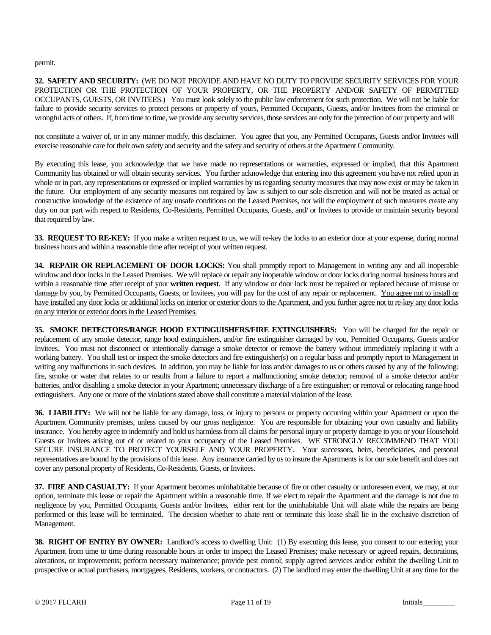permit.

**32. SAFETY AND SECURITY:** (WE DO NOT PROVIDE AND HAVE NO DUTY TO PROVIDE SECURITY SERVICES FOR YOUR PROTECTION OR THE PROTECTION OF YOUR PROPERTY, OR THE PROPERTY AND/OR SAFETY OF PERMITTED OCCUPANTS, GUESTS, OR INVITEES.)You must look solely to the public law enforcement for such protection. We will not be liable for failure to provide security services to protect persons or property of yours, Permitted Occupants, Guests, and/or Invitees from the criminal or wrongful acts of others. If, from time to time, we provide any security services, those services are only for the protection of our property and will

not constitute a waiver of, or in any manner modify, this disclaimer. You agree that you, any Permitted Occupants, Guests and/or Invitees will exercise reasonable care for their own safety and security and the safety and security of others at the Apartment Community.

By executing this lease, you acknowledge that we have made no representations or warranties, expressed or implied, that this Apartment Community has obtained or will obtain security services. You further acknowledge that entering into this agreement you have not relied upon in whole or in part, any representations or expressed or implied warranties by us regarding security measures that may now exist or may be taken in the future. Our employment of any security measures not required by law is subject to our sole discretion and will not be treated as actual or constructive knowledge of the existence of any unsafe conditions on the Leased Premises, nor will the employment of such measures create any duty on our part with respect to Residents, Co-Residents, Permitted Occupants, Guests, and/ or Invitees to provide or maintain security beyond that required by law.

**33. REQUEST TO RE-KEY:** If you make a written request to us, we will re-key the locks to an exterior door at your expense, during normal business hours and within a reasonable time after receipt of your written request.

**34. REPAIR OR REPLACEMENT OF DOOR LOCKS:** You shall promptly report to Management in writing any and all inoperable window and door locks in the Leased Premises. We will replace or repair any inoperable window or door locks during normal business hours and within a reasonable time after receipt of your **written request**. If any window or door lock must be repaired or replaced because of misuse or damage by you, by Permitted Occupants, Guests, or Invitees, you will pay for the cost of any repair or replacement. You agree not to install or have installed any door locks or additional locks on interior or exterior doors to the Apartment, and you further agree not to re-key any door locks on any interior or exterior doors in the Leased Premises.

**35. SMOKE DETECTORS/RANGE HOOD EXTINGUISHERS/FIRE EXTINGUISHERS:** You will be charged for the repair or replacement of any smoke detector, range hood extinguishers, and/or fire extinguisher damaged by you, Permitted Occupants, Guests and/or Invitees. You must not disconnect or intentionally damage a smoke detector or remove the battery without immediately replacing it with a working battery. You shall test or inspect the smoke detectors and fire extinguisher(s) on a regular basis and promptly report to Management in writing any malfunctions in such devices. In addition, you may be liable for loss and/or damages to us or others caused by any of the following: fire, smoke or water that relates to or results from a failure to report a malfunctioning smoke detector; removal of a smoke detector and/or batteries, and/or disabling a smoke detector in your Apartment; unnecessary discharge of a fire extinguisher; or removal or relocating range hood extinguishers. Any one or more of the violations stated above shall constitute a material violation of the lease.

**36. LIABILITY:** We will not be liable for any damage, loss, or injury to persons or property occurring within your Apartment or upon the Apartment Community premises, unless caused by our gross negligence. You are responsible for obtaining your own casualty and liability insurance. You hereby agree to indemnify and hold us harmless from all claims for personal injury or property damage to you or your Household Guests or Invitees arising out of or related to your occupancy of the Leased Premises. WE STRONGLY RECOMMEND THAT YOU SECURE INSURANCE TO PROTECT YOURSELF AND YOUR PROPERTY. Your successors, heirs, beneficiaries, and personal representatives are bound by the provisions of this lease. Any insurance carried by us to insure the Apartments is for our sole benefit and does not cover any personal property of Residents, Co-Residents, Guests, or Invitees.

**37. FIRE AND CASUALTY:** If your Apartment becomes uninhabitable because of fire or other casualty or unforeseen event, we may, at our option, terminate this lease or repair the Apartment within a reasonable time. If we elect to repair the Apartment and the damage is not due to negligence by you, Permitted Occupants, Guests and/or Invitees, either rent for the uninhabitable Unit will abate while the repairs are being performed or this lease will be terminated. The decision whether to abate rent or terminate this lease shall lie in the exclusive discretion of Management.

**38. RIGHT OF ENTRY BY OWNER:** Landlord's access to dwelling Unit: (1) By executing this lease, you consent to our entering your Apartment from time to time during reasonable hours in order to inspect the Leased Premises; make necessary or agreed repairs, decorations, alterations, or improvements; perform necessary maintenance; provide pest control; supply agreed services and/or exhibit the dwelling Unit to prospective or actual purchasers, mortgagees, Residents, workers, or contractors. (2) The landlord may enter the dwelling Unit at any time for the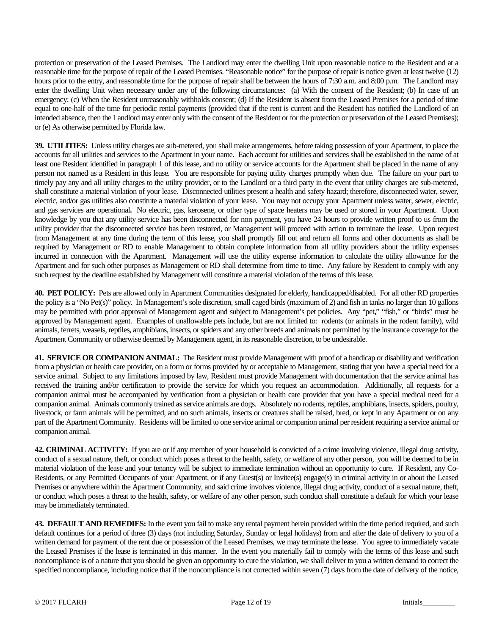protection or preservation of the Leased Premises. The Landlord may enter the dwelling Unit upon reasonable notice to the Resident and at a reasonable time for the purpose of repair of the Leased Premises. "Reasonable notice" for the purpose of repair is notice given at least twelve (12) hours prior to the entry, and reasonable time for the purpose of repair shall be between the hours of 7:30 a.m. and 8:00 p.m. The Landlord may enter the dwelling Unit when necessary under any of the following circumstances: (a) With the consent of the Resident; (b) In case of an emergency; (c) When the Resident unreasonably withholds consent; (d) If the Resident is absent from the Leased Premises for a period of time equal to one-half of the time for periodic rental payments (provided that if the rent is current and the Resident has notified the Landlord of an intended absence, then the Landlord may enter only with the consent of the Resident or for the protection or preservation of the Leased Premises); or (e) As otherwise permitted by Florida law.

**39. UTILITIES:** Unless utility charges are sub-metered, you shall make arrangements, before taking possession of your Apartment, to place the accounts for all utilities and services to the Apartment in your name. Each account for utilities and services shall be established in the name of at least one Resident identified in paragraph 1 of this lease, and no utility or service accounts for the Apartment shall be placed in the name of any person not named as a Resident in this lease. You are responsible for paying utility charges promptly when due. The failure on your part to timely pay any and all utility charges to the utility provider, or to the Landlord or a third party in the event that utility charges are sub-metered, shall constitute a material violation of your lease. Disconnected utilities present a health and safety hazard; therefore, disconnected water, sewer, electric, and/or gas utilities also constitute a material violation of your lease. You may not occupy your Apartment unless water, sewer, electric, and gas services are operational**.** No electric, gas, kerosene, or other type of space heaters may be used or stored in your Apartment. Upon knowledge by you that any utility service has been disconnected for non payment, you have 24 hours to provide written proof to us from the utility provider that the disconnected service has been restored, or Management will proceed with action to terminate the lease. Upon request from Management at any time during the term of this lease, you shall promptly fill out and return all forms and other documents as shall be required by Management or RD to enable Management to obtain complete information from all utility providers about the utility expenses incurred in connection with the Apartment. Management will use the utility expense information to calculate the utility allowance for the Apartment and for such other purposes as Management or RD shall determine from time to time. Any failure by Resident to comply with any such request by the deadline established by Management will constitute a material violation of the terms of this lease.

**40. PET POLICY:** Pets are allowed only in Apartment Communities designated for elderly, handicapped/disabled. For all other RD properties the policy is a "No Pet(s)" policy. In Management's sole discretion, small caged birds (maximum of 2) and fish in tanks no larger than 10 gallons may be permitted with prior approval of Management agent and subject to Management's pet policies. Any "pet**,**" "fish," or "birds" must be approved by Management agent. Examples of unallowable pets include, but are not limited to: rodents (or animals in the rodent family), wild animals, ferrets, weasels, reptiles, amphibians, insects, or spiders and any other breeds and animals not permitted by the insurance coverage for the Apartment Community or otherwise deemed by Management agent, in its reasonable discretion, to be undesirable.

**41. SERVICE OR COMPANION ANIMAL:** The Resident must provide Management with proof of a handicap or disability and verification from a physician or health care provider, on a form or forms provided by or acceptable to Management, stating that you have a special need for a service animal. Subject to any limitations imposed by law, Resident must provide Management with documentation that the service animal has received the training and/or certification to provide the service for which you request an accommodation. Additionally, all requests for a companion animal must be accompanied by verification from a physician or health care provider that you have a special medical need for a companion animal. Animals commonly trained asservice animals are dogs. Absolutely no rodents, reptiles, amphibians, insects, spiders, poultry, livestock, or farm animals will be permitted, and no such animals, insects or creatures shall be raised, bred, or kept in any Apartment or on any part of the Apartment Community. Residents will be limited to one service animal or companion animal per resident requiring a service animal or companion animal.

**42. CRIMINAL ACTIVITY:** If you are or if any member of your household is convicted of a crime involving violence, illegal drug activity, conduct of a sexual nature, theft, or conduct which poses a threat to the health, safety, or welfare of any other person, you will be deemed to be in material violation of the lease and your tenancy will be subject to immediate termination without an opportunity to cure. If Resident, any Co-Residents, or any Permitted Occupants of your Apartment, or if any Guest(s) or Invitee(s) engage(s) in criminal activity in or about the Leased Premises or anywhere within the Apartment Community, and said crime involves violence, illegal drug activity, conduct of a sexual nature, theft, or conduct which poses a threat to the health, safety, or welfare of any other person, such conduct shall constitute a default for which your lease may be immediately terminated.

**43. DEFAULT AND REMEDIES:** In the event you fail to make any rental payment herein provided within the time period required, and such default continues for a period of three (3) days (not including Saturday, Sunday or legal holidays) from and after the date of delivery to you of a written demand for payment of the rent due or possession of the Leased Premises, we may terminate the lease. You agree to immediately vacate the Leased Premises if the lease is terminated in this manner. In the event you materially fail to comply with the terms of this lease and such noncompliance is of a nature that you should be given an opportunity to cure the violation, we shall deliver to you a written demand to correct the specified noncompliance, including notice that if the noncompliance is not corrected within seven (7) days from the date of delivery of the notice,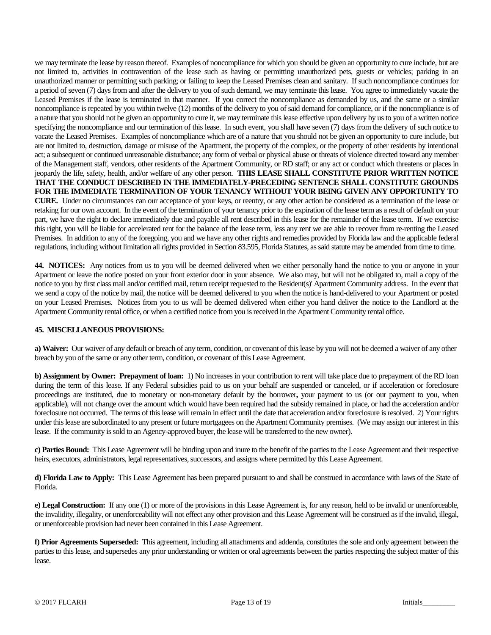we may terminate the lease by reason thereof. Examples of noncompliance for which you should be given an opportunity to cure include, but are not limited to, activities in contravention of the lease such as having or permitting unauthorized pets, guests or vehicles; parking in an unauthorized manner or permitting such parking; or failing to keep the Leased Premises clean and sanitary. If such noncompliance continues for a period of seven (7) days from and after the delivery to you of such demand, we may terminate this lease. You agree to immediately vacate the Leased Premises if the lease is terminated in that manner. If you correct the noncompliance as demanded by us, and the same or a similar noncompliance is repeated by you within twelve (12) months of the delivery to you of said demand for compliance, or if the noncompliance is of a nature that you should not be given an opportunity to cure it, we may terminate this lease effective upon delivery by us to you of a written notice specifying the noncompliance and our termination of this lease. In such event, you shall have seven (7) days from the delivery of such notice to vacate the Leased Premises. Examples of noncompliance which are of a nature that you should not be given an opportunity to cure include, but are not limited to, destruction, damage or misuse of the Apartment, the property of the complex, or the property of other residents by intentional act; a subsequent or continued unreasonable disturbance; any form of verbal or physical abuse or threats of violence directed toward any member of the Management staff, vendors, other residents of the Apartment Community, or RD staff; or any act or conduct which threatens or places in jeopardy the life, safety, health, and/or welfare of any other person. **THIS LEASE SHALL CONSTITUTE PRIOR WRITTEN NOTICE THAT THE CONDUCT DESCRIBED IN THE IMMEDIATELY-PRECEDING SENTENCE SHALL CONSTITUTE GROUNDS FOR THE IMMEDIATE TERMINATION OF YOUR TENANCY WITHOUT YOUR BEING GIVEN ANY OPPORTUNITY TO CURE.** Under no circumstances can our acceptance of your keys, or reentry, or any other action be considered as a termination of the lease or retaking for our own account. In the event of the termination of your tenancy prior to the expiration of the lease term as a result of default on your part, we have the right to declare immediately due and payable all rent described in this lease for the remainder of the lease term. If we exercise this right, you will be liable for accelerated rent for the balance of the lease term, less any rent we are able to recover from re-renting the Leased Premises. In addition to any of the foregoing, you and we have any other rights and remedies provided by Florida law and the applicable federal regulations, including without limitation all rights provided in Section 83.595, Florida Statutes, as said statute may be amended from time to time.

**44. NOTICES:** Any notices from us to you will be deemed delivered when we either personally hand the notice to you or anyone in your Apartment or leave the notice posted on your front exterior door in your absence. We also may, but will not be obligated to, mail a copy of the notice to you by first class mail and/or certified mail, return receipt requested to the Resident(s)' Apartment Community address. In the event that we send a copy of the notice by mail, the notice will be deemed delivered to you when the notice is hand-delivered to your Apartment or posted on your Leased Premises. Notices from you to us will be deemed delivered when either you hand deliver the notice to the Landlord at the Apartment Community rental office, or when a certified notice from you is received in the Apartment Community rental office.

# **45. MISCELLANEOUS PROVISIONS:**

**a) Waiver:** Our waiver of any default or breach of any term, condition, or covenant of this lease by you will not be deemed a waiver of any other breach by you of the same or any other term, condition, or covenant of this Lease Agreement.

**b) Assignment by Owner: Prepayment of loan:** 1) No increases in your contribution to rent will take place due to prepayment of the RD loan during the term of this lease. If any Federal subsidies paid to us on your behalf are suspended or canceled, or if acceleration or foreclosure proceedings are instituted, due to monetary or non-monetary default by the borrower**,** your payment to us (or our payment to you, when applicable), will not change over the amount which would have been required had the subsidy remained in place, or had the acceleration and/or foreclosure not occurred. The terms of this lease will remain in effect until the date that acceleration and/or foreclosure is resolved. 2) Your rights under this lease are subordinated to any present or future mortgagees on the Apartment Community premises. (We may assign our interest in this lease. If the community is sold to an Agency-approved buyer, the lease will be transferred to the new owner).

**c) Parties Bound:** This Lease Agreement will be binding upon and inure to the benefit of the parties to the Lease Agreement and their respective heirs, executors, administrators, legal representatives, successors, and assigns where permitted by this Lease Agreement.

**d) Florida Law to Apply:** This Lease Agreement has been prepared pursuant to and shall be construed in accordance with laws of the State of Florida.

**e) Legal Construction:** If any one (1) or more of the provisions in this Lease Agreement is, for any reason, held to be invalid or unenforceable, the invalidity, illegality, or unenforceability will not effect any other provision and this Lease Agreement will be construed as if the invalid, illegal, or unenforceable provision had never been contained in this Lease Agreement.

**f) Prior Agreements Superseded:** This agreement, including all attachments and addenda, constitutes the sole and only agreement between the parties to this lease, and supersedes any prior understanding or written or oral agreements between the parties respecting the subject matter of this lease.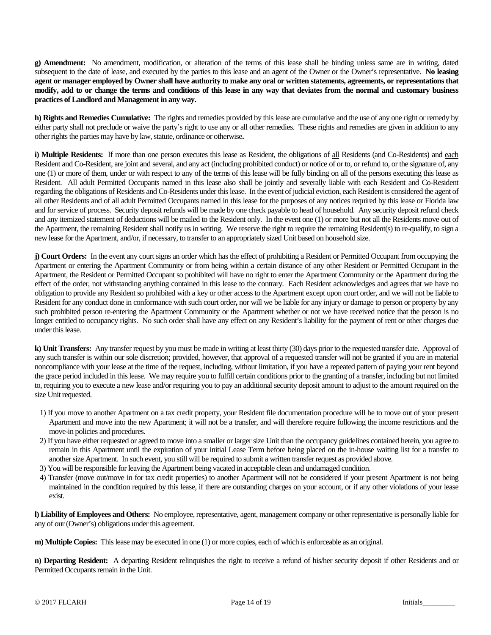**g) Amendment:** No amendment, modification, or alteration of the terms of this lease shall be binding unless same are in writing, dated subsequent to the date of lease, and executed by the parties to this lease and an agent of the Owner or the Owner's representative. **No leasing agent or manager employed by Owner shall have authority to make any oral or written statements, agreements, or representations that modify, add to or change the terms and conditions of this lease in any way that deviates from the normal and customary business practices of Landlord and Management in any way.**

**h) Rights and Remedies Cumulative:** The rights and remedies provided by this lease are cumulative and the use of any one right or remedy by either party shall not preclude or waive the party's right to use any or all other remedies. These rights and remedies are given in addition to any other rights the parties may have by law, statute, ordinance or otherwise**.**

i) **Multiple Residents:** If more than one person executes this lease as Resident, the obligations of all Residents (and Co-Residents) and each Resident and Co-Resident, are joint and several, and any act (including prohibited conduct) or notice of or to, or refund to, or the signature of, any one (1) or more of them, under or with respect to any of the terms of this lease will be fully binding on all of the persons executing this lease as Resident. All adult Permitted Occupants named in this lease also shall be jointly and severally liable with each Resident and Co-Resident regarding the obligations of Residents and Co-Residents under this lease. In the event of judicial eviction, each Resident is considered the agent of all other Residents and of all adult Permitted Occupants named in this lease for the purposes of any notices required by this lease or Florida law and for service of process. Security deposit refunds will be made by one check payable to head of household. Any security deposit refund check and any itemized statement of deductions will be mailed to the Resident only. In the event one (1) or more but not all the Residents move out of the Apartment, the remaining Resident shall notify us in writing. We reserve the right to require the remaining Resident(s) to re-qualify, to sign a new lease for the Apartment, and/or, if necessary, to transfer to an appropriately sized Unit based on household size.

**j) Court Orders:** In the event any court signs an order which has the effect of prohibiting a Resident or Permitted Occupant from occupying the Apartment or entering the Apartment Community or from being within a certain distance of any other Resident or Permitted Occupant in the Apartment, the Resident or Permitted Occupant so prohibited will have no right to enter the Apartment Community or the Apartment during the effect of the order, not withstanding anything contained in this lease to the contrary. Each Resident acknowledges and agrees that we have no obligation to provide any Resident so prohibited with a key or other access to the Apartment except upon court order, and we will not be liable to Resident for any conduct done in conformance with such court order**,** nor will we be liable for any injury or damage to person or property by any such prohibited person re-entering the Apartment Community or the Apartment whether or not we have received notice that the person is no longer entitled to occupancy rights. No such order shall have any effect on any Resident's liability for the payment of rent or other charges due under this lease.

**k) Unit Transfers:** Any transfer request by you must be made in writing at least thirty (30) days prior to the requested transfer date. Approval of any such transfer is within our sole discretion; provided, however, that approval of a requested transfer will not be granted if you are in material noncompliance with your lease at the time of the request, including, without limitation, if you have a repeated pattern of paying your rent beyond the grace period included in this lease. We may require you to fulfill certain conditions prior to the granting of a transfer, including but not limited to, requiring you to execute a new lease and/or requiring you to pay an additional security deposit amount to adjust to the amount required on the size Unit requested.

- 1) If you move to another Apartment on a tax credit property, your Resident file documentation procedure will be to move out of your present Apartment and move into the new Apartment; it will not be a transfer, and will therefore require following the income restrictions and the move-in policies and procedures.
- 2) If you have either requested or agreed to move into a smaller or larger size Unit than the occupancy guidelines contained herein, you agree to remain in this Apartment until the expiration of your initial Lease Term before being placed on the in-house waiting list for a transfer to another size Apartment. In such event, you still will be required to submit a written transfer request as provided above.
- 3) You will be responsible for leaving the Apartment being vacated in acceptable clean and undamaged condition.
- 4) Transfer (move out/move in for tax credit properties) to another Apartment will not be considered if your present Apartment is not being maintained in the condition required by this lease, if there are outstanding charges on your account, or if any other violations of your lease exist.

**l) Liability of Employees and Others:** No employee, representative, agent, management company or other representative is personally liable for any of our (Owner's) obligations under this agreement.

**m) Multiple Copies:** This lease may be executed in one (1) or more copies, each of which is enforceable as an original.

**n) Departing Resident:** A departing Resident relinquishes the right to receive a refund of his/her security deposit if other Residents and or Permitted Occupants remain in the Unit.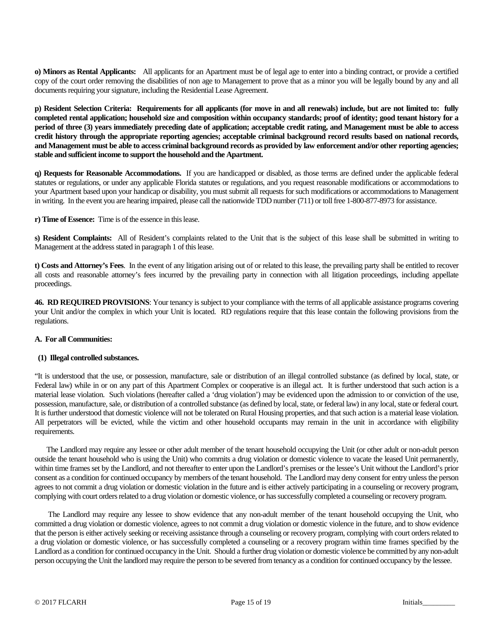**o) Minors as Rental Applicants:** All applicants for an Apartment must be of legal age to enter into a binding contract, or provide a certified copy of the court order removing the disabilities of non age to Management to prove that as a minor you will be legally bound by any and all documents requiring your signature, including the Residential Lease Agreement.

**p) Resident Selection Criteria: Requirements for all applicants (for move in and all renewals) include, but are not limited to: fully completed rental application; household size and composition within occupancy standards; proof of identity; good tenant history for a period of three (3) years immediately preceding date of application; acceptable credit rating, and Management must be able to access credit history through the appropriate reporting agencies; acceptable criminal background record results based on national records, and Management must be able to access criminal background records as provided by law enforcement and/or other reporting agencies; stable and sufficient income to support the household and the Apartment.**

**q) Requests for Reasonable Accommodations.** If you are handicapped or disabled, as those terms are defined under the applicable federal statutes or regulations, or under any applicable Florida statutes or regulations, and you request reasonable modifications or accommodations to your Apartment based upon your handicap or disability, you must submit all requests for such modifications or accommodations to Management in writing. In the event you are hearing impaired, please call the nationwide TDD number (711) or toll free 1-800-877-8973 for assistance.

**r) Time of Essence:** Time is of the essence in this lease.

**s) Resident Complaints:** All of Resident's complaints related to the Unit that is the subject of this lease shall be submitted in writing to Management at the address stated in paragraph 1 of this lease.

**t) Costs and Attorney's Fees**. In the event of any litigation arising out of or related to this lease, the prevailing party shall be entitled to recover all costs and reasonable attorney's fees incurred by the prevailing party in connection with all litigation proceedings, including appellate proceedings.

**46. RD REQUIRED PROVISIONS**: Your tenancy is subject to your compliance with the terms of all applicable assistance programs covering your Unit and/or the complex in which your Unit is located. RD regulations require that this lease contain the following provisions from the regulations.

#### **A. For all Communities:**

#### **(1) Illegal controlled substances.**

"It is understood that the use, or possession, manufacture, sale or distribution of an illegal controlled substance (as defined by local, state, or Federal law) while in or on any part of this Apartment Complex or cooperative is an illegal act. It is further understood that such action is a material lease violation. Such violations (hereafter called a 'drug violation') may be evidenced upon the admission to or conviction of the use, possession, manufacture, sale, or distribution of a controlled substance (as defined by local, state, or federal law) in any local, state or federal court. It is further understood that domestic violence will not be tolerated on Rural Housing properties, and that such action is a material lease violation. All perpetrators will be evicted, while the victim and other household occupants may remain in the unit in accordance with eligibility requirements.

 The Landlord may require any lessee or other adult member of the tenant household occupying the Unit (or other adult or non-adult person outside the tenant household who is using the Unit) who commits a drug violation or domestic violence to vacate the leased Unit permanently, within time frames set by the Landlord, and not thereafter to enter upon the Landlord's premises or the lessee's Unit without the Landlord's prior consent as a condition for continued occupancy by members of the tenant household. The Landlord may deny consent for entry unless the person agrees to not commit a drug violation or domestic violation in the future and is either actively participating in a counseling or recovery program, complying with court orders related to a drug violation or domestic violence, or has successfully completed a counseling or recovery program.

 The Landlord may require any lessee to show evidence that any non-adult member of the tenant household occupying the Unit, who committed a drug violation or domestic violence, agrees to not commit a drug violation or domestic violence in the future, and to show evidence that the person is either actively seeking or receiving assistance through a counseling or recovery program, complying with court orders related to a drug violation or domestic violence, or has successfully completed a counseling or a recovery program within time frames specified by the Landlord as a condition for continued occupancy in the Unit. Should a further drug violation or domestic violence be committed by any non-adult person occupying the Unit the landlord may require the person to be severed from tenancy as a condition for continued occupancy by the lessee.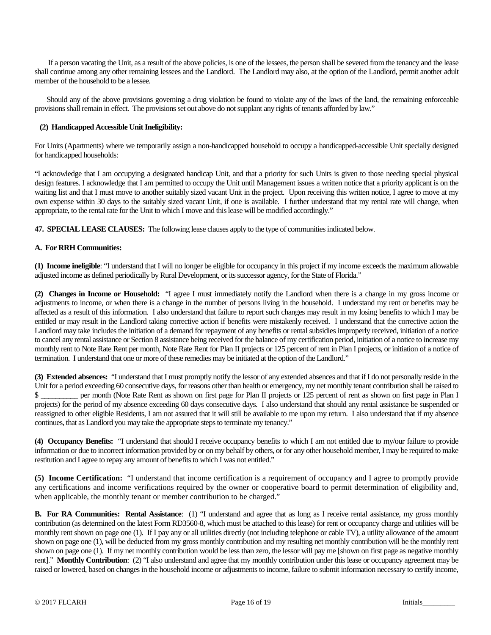If a person vacating the Unit, as a result of the above policies, is one of the lessees, the person shall be severed from the tenancy and the lease shall continue among any other remaining lessees and the Landlord. The Landlord may also, at the option of the Landlord, permit another adult member of the household to be a lessee.

 Should any of the above provisions governing a drug violation be found to violate any of the laws of the land, the remaining enforceable provisions shall remain in effect. The provisions set out above do not supplant any rights of tenants afforded by law."

### **(2) Handicapped Accessible Unit Ineligibility:**

For Units (Apartments) where we temporarily assign a non-handicapped household to occupy a handicapped-accessible Unit specially designed for handicapped households:

"I acknowledge that I am occupying a designated handicap Unit, and that a priority for such Units is given to those needing special physical design features. I acknowledge that I am permitted to occupy the Unit until Management issues a written notice that a priority applicant is on the waiting list and that I must move to another suitably sized vacant Unit in the project. Upon receiving this written notice, I agree to move at my own expense within 30 days to the suitably sized vacant Unit, if one is available. I further understand that my rental rate will change, when appropriate, to the rental rate for the Unit to which I move and this lease will be modified accordingly."

**47. SPECIAL LEASE CLAUSES:** The following lease clauses apply to the type of communities indicated below.

# **A. For RRH Communities:**

**(1) Income ineligible**: "I understand that I will no longer be eligible for occupancy in this project if my income exceeds the maximum allowable adjusted income as defined periodically by Rural Development, or its successor agency, for the State of Florida."

**(2) Changes in Income or Household:** "I agree I must immediately notify the Landlord when there is a change in my gross income or adjustments to income, or when there is a change in the number of persons living in the household. I understand my rent or benefits may be affected as a result of this information. I also understand that failure to report such changes may result in my losing benefits to which I may be entitled or may result in the Landlord taking corrective action if benefits were mistakenly received. I understand that the corrective action the Landlord may take includes the initiation of a demand for repayment of any benefits or rental subsidies improperly received, initiation of a notice to cancel any rental assistance or Section 8 assistance being received for the balance of my certification period, initiation of a notice to increase my monthly rent to Note Rate Rent per month, Note Rate Rent for Plan II projects or 125 percent of rent in Plan I projects, or initiation of a notice of termination. I understand that one or more of these remedies may be initiated at the option of the Landlord."

**(3) Extended absences:** "I understand that I must promptly notify the lessor of any extended absences and that if I do not personally reside in the Unit for a period exceeding 60 consecutive days, for reasons other than health or emergency, my net monthly tenant contribution shall be raised to \$ projects) for the period of my absence exceeding 60 days consecutive days. I also understand that should any rental assistance be suspended or reassigned to other eligible Residents, I am not assured that it will still be available to me upon my return. I also understand that if my absence continues, that as Landlord you may take the appropriate steps to terminate my tenancy."

**(4) Occupancy Benefits:** "I understand that should I receive occupancy benefits to which I am not entitled due to my/our failure to provide information or due to incorrect information provided by or on my behalf by others, or for any other household member, I may be required to make restitution and I agree to repay any amount of benefits to which I was not entitled."

**(5) Income Certification:** "I understand that income certification is a requirement of occupancy and I agree to promptly provide any certifications and income verifications required by the owner or cooperative board to permit determination of eligibility and, when applicable, the monthly tenant or member contribution to be charged."

**B. For RA Communities: Rental Assistance**: (1) "I understand and agree that as long as I receive rental assistance, my gross monthly contribution (as determined on the latest Form RD3560-8, which must be attached to this lease) for rent or occupancy charge and utilities will be monthly rent shown on page one (1). If I pay any or all utilities directly (not including telephone or cable TV), a utility allowance of the amount shown on page one (1), will be deducted from my gross monthly contribution and my resulting net monthly contribution will be the monthly rent shown on page one (1). If my net monthly contribution would be less than zero, the lessor will pay me [shown on first page as negative monthly rent]." **Monthly Contribution**: (2) "I also understand and agree that my monthly contribution under this lease or occupancy agreement may be raised or lowered, based on changes in the household income or adjustments to income, failure to submit information necessary to certify income,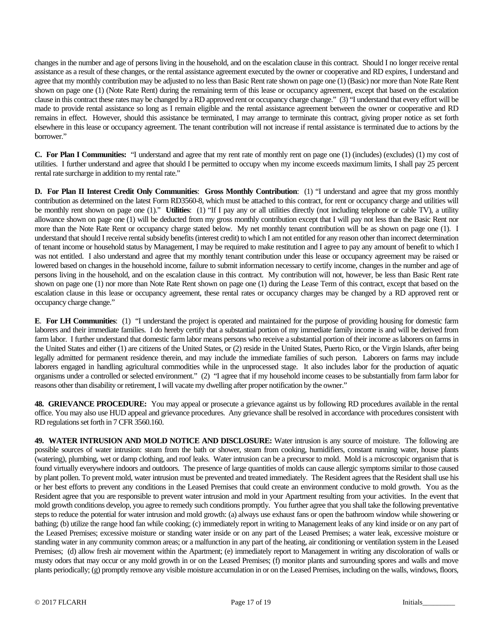changes in the number and age of persons living in the household, and on the escalation clause in this contract. Should I no longer receive rental assistance as a result of these changes, or the rental assistance agreement executed by the owner or cooperative and RD expires, I understand and agree that my monthly contribution may be adjusted to no less than Basic Rent rate shown on page one (1) (Basic) nor more than Note Rate Rent shown on page one (1) (Note Rate Rent) during the remaining term of this lease or occupancy agreement, except that based on the escalation clause in this contract these rates may be changed by a RD approved rent or occupancy charge change." (3) "I understand that every effort will be made to provide rental assistance so long as I remain eligible and the rental assistance agreement between the owner or cooperative and RD remains in effect. However, should this assistance be terminated, I may arrange to terminate this contract, giving proper notice as set forth elsewhere in this lease or occupancy agreement. The tenant contribution will not increase if rental assistance is terminated due to actions by the borrower."

**C. For Plan I Communities:** "I understand and agree that my rent rate of monthly rent on page one (1) (includes) (excludes) (1) my cost of utilities. I further understand and agree that should I be permitted to occupy when my income exceeds maximum limits, I shall pay 25 percent rental rate surcharge in addition to my rental rate."

**D. For Plan II Interest Credit Only Communities**: **Gross Monthly Contribution**: (1) "I understand and agree that my gross monthly contribution as determined on the latest Form RD3560-8, which must be attached to this contract, for rent or occupancy charge and utilities will be monthly rent shown on page one (1)." **Utilities**: (1) "If I pay any or all utilities directly (not including telephone or cable TV), a utility allowance shown on page one (1) will be deducted from my gross monthly contribution except that I will pay not less than the Basic Rent nor more than the Note Rate Rent or occupancy charge stated below. My net monthly tenant contribution will be as shown on page one (1). I understand that should I receive rental subsidy benefits (interest credit) to which I am not entitled for any reason other than incorrect determination of tenant income or household status by Management, I may be required to make restitution and I agree to pay any amount of benefit to which I was not entitled. I also understand and agree that my monthly tenant contribution under this lease or occupancy agreement may be raised or lowered based on changes in the household income, failure to submit information necessary to certify income, changes in the number and age of persons living in the household, and on the escalation clause in this contract. My contribution will not, however, be less than Basic Rent rate shown on page one (1) nor more than Note Rate Rent shown on page one (1) during the Lease Term of this contract, except that based on the escalation clause in this lease or occupancy agreement, these rental rates or occupancy charges may be changed by a RD approved rent or occupancy charge change."

**E**. **For LH Communities**: (1) "I understand the project is operated and maintained for the purpose of providing housing for domestic farm laborers and their immediate families. I do hereby certify that a substantial portion of my immediate family income is and will be derived from farm labor. I further understand that domestic farm labor means persons who receive a substantial portion of their income aslaborers on farms in the United States and either (1) are citizens of the United States, or (2) reside in the United States, Puerto Rico, or the Virgin Islands, after being legally admitted for permanent residence therein, and may include the immediate families of such person. Laborers on farms may include laborers engaged in handling agricultural commodities while in the unprocessed stage. It also includes labor for the production of aquatic organisms under a controlled or selected environment." (2) "I agree that if my household income ceases to be substantially from farm labor for reasons other than disability or retirement, I will vacate my dwelling after proper notification by the owner."

**48. GRIEVANCE PROCEDURE:** You may appeal or prosecute a grievance against us by following RD procedures available in the rental office. You may also use HUD appeal and grievance procedures. Any grievance shall be resolved in accordance with procedures consistent with RD regulations set forth in 7 CFR 3560.160.

**49. WATER INTRUSION AND MOLD NOTICE AND DISCLOSURE:** Water intrusion is any source of moisture. The following are possible sources of water intrusion: steam from the bath or shower, steam from cooking, humidifiers, constant running water, house plants (watering), plumbing, wet or damp clothing, and roof leaks. Water intrusion can be a precursor to mold. Mold is a microscopic organism that is found virtually everywhere indoors and outdoors. The presence of large quantities of molds can cause allergic symptoms similar to those caused by plant pollen. To prevent mold, water intrusion must be prevented and treated immediately. The Resident agrees that the Resident shall use his or her best efforts to prevent any conditions in the Leased Premises that could create an environment conducive to mold growth. You as the Resident agree that you are responsible to prevent water intrusion and mold in your Apartment resulting from your activities. In the event that mold growth conditions develop, you agree to remedy such conditions promptly. You further agree that you shall take the following preventative steps to reduce the potential for water intrusion and mold growth: (a) always use exhaust fans or open the bathroom window while showering or bathing; (b) utilize the range hood fan while cooking; (c) immediately report in writing to Management leaks of any kind inside or on any part of the Leased Premises; excessive moisture or standing water inside or on any part of the Leased Premises; a water leak, excessive moisture or standing water in any community common areas; or a malfunction in any part of the heating, air conditioning or ventilation system in the Leased Premises; (d) allow fresh air movement within the Apartment; (e) immediately report to Management in writing any discoloration of walls or musty odors that may occur or any mold growth in or on the Leased Premises; (f) monitor plants and surrounding spores and walls and move plants periodically; (g) promptly remove any visible moisture accumulation in or on the Leased Premises, including on the walls, windows, floors,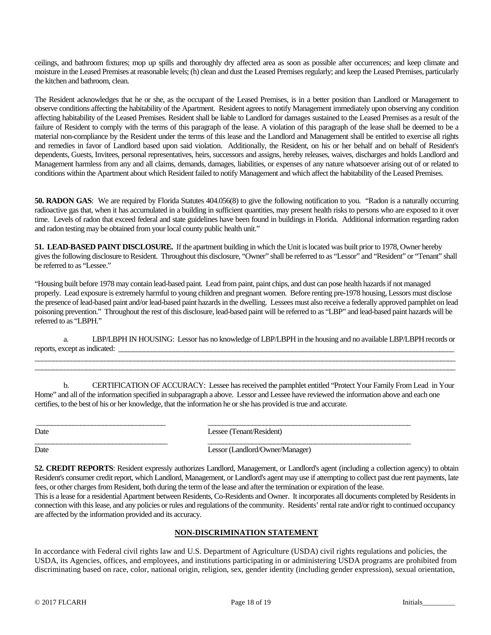ceilings, and bathroom fixtures; mop up spills and thoroughly dry affected area as soon as possible after occurrences; and keep climate and moisture in the Leased Premises at reasonable levels; (h) clean and dust the Leased Premises regularly; and keep the Leased Premises, particularly the kitchen and bathroom, clean.

The Resident acknowledges that he or she, as the occupant of the Leased Premises, is in a better position than Landlord or Management to observe conditions affecting the habitability of the Apartment. Resident agrees to notify Management immediately upon observing any condition affecting habitability of the Leased Premises. Resident shall be liable to Landlord for damages sustained to the Leased Premises as a result of the failure of Resident to comply with the terms of this paragraph of the lease. A violation of this paragraph of the lease shall be deemed to be a material non-compliance by the Resident under the terms of this lease and the Landlord and Management shall be entitled to exercise all rights and remedies in favor of Landlord based upon said violation. Additionally, the Resident, on his or her behalf and on behalf of Resident's dependents, Guests, Invitees, personal representatives, heirs, successors and assigns, hereby releases, waives, discharges and holds Landlord and Management harmless from any and all claims, demands, damages, liabilities, or expenses of any nature whatsoever arising out of or related to conditions within the Apartment about which Resident failed to notify Management and which affect the habitability of the Leased Premises.

**50. RADON GAS**: We are required by Florida Statutes 404.056(8) to give the following notification to you. "Radon is a naturally occurring radioactive gas that, when it has accumulated in a building in sufficient quantities, may present health risks to persons who are exposed to it over time. Levels of radon that exceed federal and state guidelines have been found in buildings in Florida. Additional information regarding radon and radon testing may be obtained from your local county public health unit."

**51. LEAD-BASED PAINT DISCLOSURE.** If the apartment building in which the Unit is located was built prior to 1978, Owner hereby gives the following disclosure to Resident. Throughout this disclosure, "Owner" shall be referred to as "Lessor" and "Resident" or "Tenant" shall be referred to as "Lessee."

"Housing built before 1978 may contain lead-based paint. Lead from paint, paint chips, and dust can pose health hazards if not managed properly. Lead exposure is extremely harmful to young children and pregnant women. Before renting pre-1978 housing, Lessors must disclose the presence of lead-based paint and/or lead-based paint hazardsin the dwelling. Lessees must also receive a federally approved pamphlet on lead poisoning prevention." Throughout the rest of this disclosure, lead-based paint will be referred to as "LBP" and lead-based paint hazards will be referred to as "LBPH."

a. LBP/LBPH IN HOUSING: Lessor has no knowledge of LBP/LBPH in the housing and no available LBP/LBPH records or reports, except as indicated: \_\_\_\_\_\_\_\_\_\_\_\_\_\_\_\_\_\_\_\_\_\_\_\_\_\_\_\_\_\_\_\_\_\_\_\_\_\_\_\_\_\_\_\_\_\_\_\_\_\_\_\_\_\_\_\_\_\_\_\_\_\_\_\_\_\_\_\_\_\_\_\_\_\_\_\_\_\_\_\_\_\_\_\_\_\_\_\_\_\_\_\_\_\_\_\_\_\_\_\_\_\_\_\_\_\_\_\_\_\_\_\_\_\_

\_\_\_\_\_\_\_\_\_\_\_\_\_\_\_\_\_\_\_\_\_\_\_\_\_\_\_\_\_\_\_\_\_\_\_\_\_\_\_\_\_\_\_\_\_\_\_\_\_\_\_\_\_\_\_\_\_\_\_\_\_\_\_\_\_\_\_\_\_\_\_\_\_\_\_\_\_\_\_\_\_\_\_\_\_\_\_\_\_\_\_\_\_\_\_\_\_\_\_\_\_\_\_\_\_\_\_\_\_\_\_\_\_\_

b. CERTIFICATION OF ACCURACY: Lessee has received the pamphlet entitled "Protect Your Family From Lead in Your Home" and all of the information specified in subparagraph a above. Lessor and Lessee have reviewed the information above and each one certifies, to the best of his or her knowledge, that the information he or she has provided is true and accurate.

| ٧<br>۰,<br>v<br>. |
|-------------------|
|-------------------|

\_\_\_\_\_\_\_\_\_\_\_\_\_\_\_\_\_\_\_\_\_\_\_\_\_\_\_\_\_\_\_\_\_\_\_ \_\_\_\_\_\_\_\_\_\_\_\_\_\_\_\_\_\_\_\_\_\_\_\_\_\_\_\_\_\_\_\_\_\_\_\_\_\_\_\_\_\_\_\_\_\_\_\_\_\_\_\_\_\_\_ Lessee (Tenant/Resident)

 $\Box$ 

Date Lessor (Landlord/Owner/Manager)

**52. CREDIT REPORTS**: Resident expressly authorizes Landlord, Management, or Landlord's agent (including a collection agency) to obtain Resident's consumer credit report, which Landlord, Management, or Landlord's agent may use if attempting to collect past due rent payments, late fees, or other charges from Resident, both during the term of the lease and after the termination or expiration of the lease.

This is a lease for a residential Apartment between Residents, Co-Residents and Owner. It incorporates all documents completed by Residents in connection with this lease, and any policies or rules and regulations of the community. Residents' rental rate and/or right to continued occupancy are affected by the information provided and its accuracy.

# **NON-DISCRIMINATION STATEMENT**

In accordance with Federal civil rights law and U.S. Department of Agriculture (USDA) civil rights regulations and policies, the USDA, its Agencies, offices, and employees, and institutions participating in or administering USDA programs are prohibited from discriminating based on race, color, national origin, religion, sex, gender identity (including gender expression), sexual orientation,